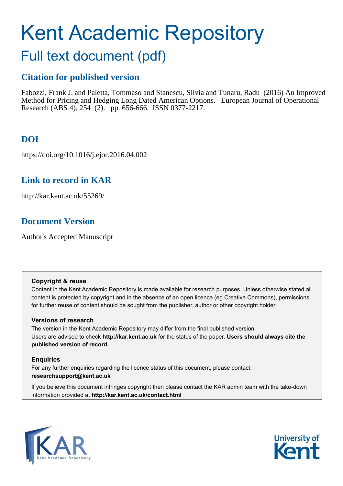# <span id="page-0-0"></span>Kent Academic Repository

## Full text document (pdf)

## **Citation for published version**

Fabozzi, Frank J. and Paletta, Tommaso and Stanescu, Silvia and Tunaru, Radu (2016) An Improved Method for Pricing and Hedging Long Dated American Options. European Journal of Operational Research (ABS 4), 254 (2). pp. 656-666. ISSN 0377-2217.

## **DOI**

https://doi.org/10.1016/j.ejor.2016.04.002

## **Link to record in KAR**

http://kar.kent.ac.uk/55269/

## **Document Version**

Author's Accepted Manuscript

#### **Copyright & reuse**

Content in the Kent Academic Repository is made available for research purposes. Unless otherwise stated all content is protected by copyright and in the absence of an open licence (eg Creative Commons), permissions for further reuse of content should be sought from the publisher, author or other copyright holder.

#### **Versions of research**

The version in the Kent Academic Repository may differ from the final published version. Users are advised to check **http://kar.kent.ac.uk** for the status of the paper. **Users should always cite the published version of record.**

#### **Enquiries**

For any further enquiries regarding the licence status of this document, please contact: **researchsupport@kent.ac.uk**

If you believe this document infringes copyright then please contact the KAR admin team with the take-down information provided at **http://kar.kent.ac.uk/contact.html**



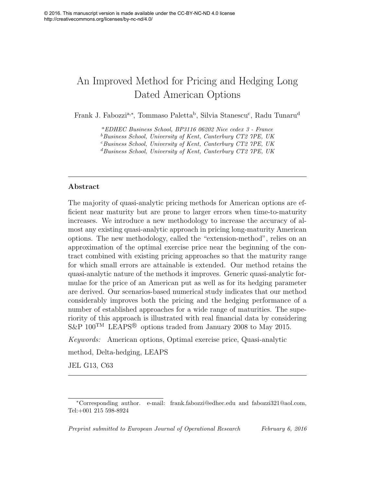## An Improved Method for Pricing and Hedging Long Dated American Options

Frank J. Fabozzi<sup>a,∗</sup>, Tommaso Paletta<sup>b</sup>, Silvia Stanescu<sup>c</sup>, Radu Tunaru<sup>d</sup>

<sup>a</sup>EDHEC Business School, BP3116 06202 Nice cedex 3 - France  $b$ Business School, University of Kent, Canterbury CT2 7PE, UK  $c$ Business School, University of Kent, Canterbury CT2 7PE, UK <sup>d</sup>Business School, University of Kent, Canterbury CT2 7PE, UK

#### Abstract

The majority of quasi-analytic pricing methods for American options are efficient near maturity but are prone to larger errors when time-to-maturity increases. We introduce a new methodology to increase the accuracy of almost any existing quasi-analytic approach in pricing long-maturity American options. The new methodology, called the "extension-method", relies on an approximation of the optimal exercise price near the beginning of the contract combined with existing pricing approaches so that the maturity range for which small errors are attainable is extended. Our method retains the quasi-analytic nature of the methods it improves. Generic quasi-analytic formulae for the price of an American put as well as for its hedging parameter are derived. Our scenarios-based numerical study indicates that our method considerably improves both the pricing and the hedging performance of a number of established approaches for a wide range of maturities. The superiority of this approach is illustrated with real financial data by considering S&P  $100^{TM}$  LEAPS<sup>®</sup> options traded from January 2008 to May 2015.

Keywords: American options, Optimal exercise price, Quasi-analytic method, Delta-hedging, LEAPS

JEL G13, C63

<sup>∗</sup>Corresponding author. e-mail: frank.fabozzi@edhec.edu and fabozzi321@aol.com, Tel:+001 215 598-8924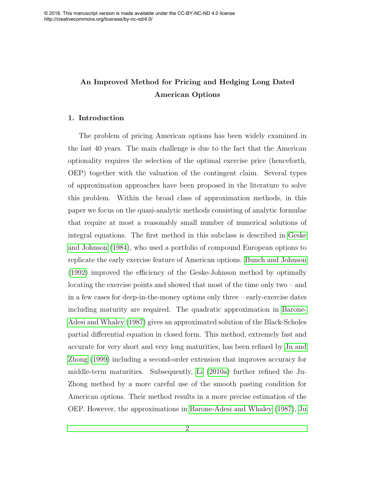## An Improved Method for Pricing and Hedging Long Dated American Options

#### 1. Introduction

The problem of pricing American options has been widely examined in the last 40 years. The main challenge is due to the fact that the American optionality requires the selection of the optimal exercise price (henceforth, OEP) together with the valuation of the contingent claim. Several types of approximation approaches have been proposed in the literature to solve this problem. Within the broad class of approximation methods, in this paper we focus on the quasi-analytic methods consisting of analytic formulae that require at most a reasonably small number of numerical solutions of integral equations. The first method in this subclass is described in [Geske](#page-21-0) [and Johnson \(1984\)](#page-21-0), who used a portfolio of compound European options to replicate the early exercise feature of American options. [Bunch and Johnson](#page-20-0) [\(1992\)](#page-20-0) improved the efficiency of the Geske-Johnson method by optimally locating the exercise points and showed that most of the time only two – and in a few cases for deep-in-the-money options only three – early-exercise dates including maturity are required. The quadratic approximation in [Barone-](#page-20-1)[Adesi and Whaley \(1987\)](#page-20-1) gives an approximated solution of the Black-Scholes partial differential equation in closed form. This method, extremely fast and accurate for very short and very long maturities, has been refined by [Ju and](#page-22-0) [Zhong \(1999\)](#page-22-0) including a second-order extension that improves accuracy for middle-term maturities. Subsequently, [Li \(2010a\)](#page-22-1) further refined the Ju-Zhong method by a more careful use of the smooth pasting condition for American options. Their method results in a more precise estimation of the OEP. However, the approximations in [Barone-Adesi and Whaley \(1987\)](#page-20-1), [Ju](#page-22-0)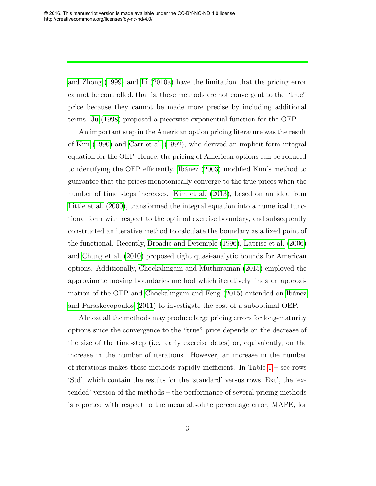[and Zhong \(1999\)](#page-22-0) and [Li \(2010a\)](#page-22-1) have the limitation that the pricing error cannot be controlled, that is, these methods are not convergent to the "true" price because they cannot be made more precise by including additional terms. [Ju \(1998\)](#page-22-2) proposed a piecewise exponential function for the OEP.

An important step in the American option pricing literature was the result of [Kim \(1990\)](#page-22-3) and [Carr et al. \(1992\)](#page-20-2), who derived an implicit-form integral equation for the OEP. Hence, the pricing of American options can be reduced to identifying the OEP efficiently. Ibanez  $(2003)$  modified Kim's method to guarantee that the prices monotonically converge to the true prices when the number of time steps increases. [Kim et al. \(2013\)](#page-22-4), based on an idea from [Little et al. \(2000\)](#page-23-0), transformed the integral equation into a numerical functional form with respect to the optimal exercise boundary, and subsequently constructed an iterative method to calculate the boundary as a fixed point of the functional. Recently, [Broadie and Detemple \(1996\)](#page-20-3), [Laprise et al. \(2006\)](#page-22-5) and [Chung et al. \(2010\)](#page-21-2) proposed tight quasi-analytic bounds for American options. Additionally, [Chockalingam and Muthuraman \(2015\)](#page-21-3) employed the approximate moving boundaries method which iteratively finds an approximation of the OEP and Chockalingam and Feng  $(2015)$  extended on Ibáñez [and Paraskevopoulos \(2011\)](#page-22-6) to investigate the cost of a suboptimal OEP.

Almost all the methods may produce large pricing errors for long-maturity options since the convergence to the "true" price depends on the decrease of the size of the time-step (i.e. early exercise dates) or, equivalently, on the increase in the number of iterations. However, an increase in the number of iterations makes these methods rapidly inefficient. In Table  $1$  – see rows 'Std', which contain the results for the 'standard' versus rows 'Ext', the 'extended' version of the methods – the performance of several pricing methods is reported with respect to the mean absolute percentage error, MAPE, for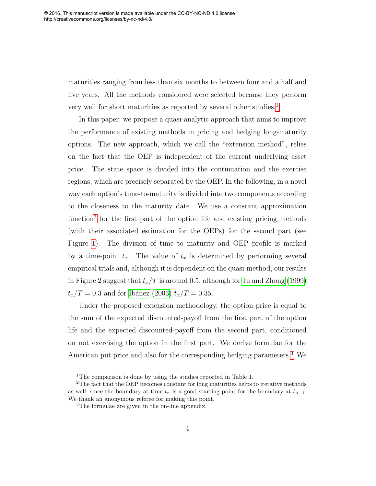maturities ranging from less than six months to between four and a half and five years. All the methods considered were selected because they perform very well for short maturities as reported by several other studies.<sup>[1](#page-0-0)</sup>

In this paper, we propose a quasi-analytic approach that aims to improve the performance of existing methods in pricing and hedging long-maturity options. The new approach, which we call the "extension method", relies on the fact that the OEP is independent of the current underlying asset price. The state space is divided into the continuation and the exercise regions, which are precisely separated by the OEP. In the following, in a novel way each option's time-to-maturity is divided into two components according to the closeness to the maturity date. We use a constant approximation function<sup>[2](#page-0-0)</sup> for the first part of the option life and existing pricing methods (with their associated estimation for the OEPs) for the second part (see Figure [1\)](#page-31-0). The division of time to maturity and OEP profile is marked by a time-point  $t_x$ . The value of  $t_x$  is determined by performing several empirical trials and, although it is dependent on the quasi-method, our results in Figure 2 suggest that  $t_x/T$  is around 0.5, although for [Ju and Zhong \(1999\)](#page-22-0)  $t_x/T = 0.3$  and for Ibáñez (2003)  $t_x/T = 0.35$ .

<span id="page-4-1"></span><span id="page-4-0"></span>Under the proposed extension methodology, the option price is equal to the sum of the expected discounted-payoff from the first part of the option life and the expected discounted-payoff from the second part, conditioned on not exercising the option in the first part. We derive formulae for the American put price and also for the corresponding hedging parameters.[3](#page-0-0) We

<sup>&</sup>lt;sup>1</sup>The comparison is done by using the studies reported in Table 1.

 $2$ The fact that the OEP becomes constant for long maturities helps to iterative methods as well; since the boundary at time  $t_n$  is a good starting point for the boundary at  $t_{n-1}$ . We thank an anonymous referee for making this point.

<sup>&</sup>lt;sup>3</sup>The formulae are given in the on-line appendix.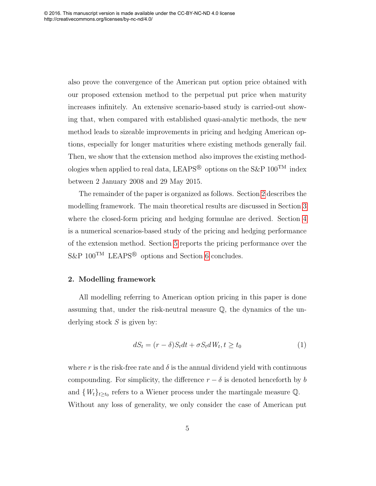<span id="page-5-0"></span>also prove the convergence of the American put option price obtained with our proposed extension method to the perpetual put price when maturity increases infinitely. An extensive scenario-based study is carried-out showing that, when compared with established quasi-analytic methods, the new method leads to sizeable improvements in pricing and hedging American options, especially for longer maturities where existing methods generally fail. Then, we show that the extension method also improves the existing methodologies when applied to real data, LEAPS<sup>®</sup> options on the S&P  $100^{TM}$  index between 2 January 2008 and 29 May 2015.

The remainder of the paper is organized as follows. Section [2](#page-4-0) describes the modelling framework. The main theoretical results are discussed in Section [3](#page-6-0) where the closed-form pricing and hedging formulae are derived. Section [4](#page-10-0) is a numerical scenarios-based study of the pricing and hedging performance of the extension method. Section [5](#page-16-0) reports the pricing performance over the  $S\&P$  100<sup>TM</sup> LEAPS<sup>®</sup> options and Section [6](#page-19-0) concludes.

#### 2. Modelling framework

All modelling referring to American option pricing in this paper is done assuming that, under the risk-neutral measure  $\mathbb{Q}$ , the dynamics of the underlying stock  $S$  is given by:

$$
dS_t = (r - \delta)S_t dt + \sigma S_t dW_t, t \ge t_0
$$
\n<sup>(1)</sup>

where r is the risk-free rate and  $\delta$  is the annual dividend yield with continuous compounding. For simplicity, the difference  $r - \delta$  is denoted henceforth by b and  $\{W_t\}_{t\geq t_0}$  refers to a Wiener process under the martingale measure Q. Without any loss of generality, we only consider the case of American put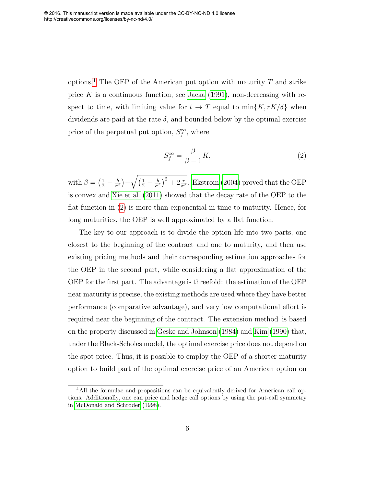options.<sup>[4](#page-0-0)</sup> The OEP of the American put option with maturity  $T$  and strike price K is a continuous function, see Jacka  $(1991)$ , non-decreasing with respect to time, with limiting value for  $t \to T$  equal to  $\min\{K, rK/\delta\}$  when dividends are paid at the rate  $\delta$ , and bounded below by the optimal exercise price of the perpetual put option,  $S_f^{\infty}$ , where

$$
S_f^{\infty} = \frac{\beta}{\beta - 1} K,\tag{2}
$$

with  $\beta = \left(\frac{1}{2} - \frac{b}{\sigma^2}\right)$  $\frac{b}{\sigma^2}\big)-\sqrt{\big(\frac{1}{2}-\frac{b}{\sigma^2}}$  $\left(\frac{b}{\sigma^2}\right)^2 + 2\frac{r}{\sigma^2}$ . [Ekstrom \(2004\)](#page-21-5) proved that the OEP is convex and [Xie et al. \(2011\)](#page-24-0) showed that the decay rate of the OEP to the flat function in [\(2\)](#page-5-0) is more than exponential in time-to-maturity. Hence, for long maturities, the OEP is well approximated by a flat function.

<span id="page-6-0"></span>The key to our approach is to divide the option life into two parts, one closest to the beginning of the contract and one to maturity, and then use existing pricing methods and their corresponding estimation approaches for the OEP in the second part, while considering a flat approximation of the OEP for the first part. The advantage is threefold: the estimation of the OEP near maturity is precise, the existing methods are used where they have better performance (comparative advantage), and very low computational effort is required near the beginning of the contract. The extension method is based on the property discussed in [Geske and Johnson \(1984\)](#page-21-0) and [Kim \(1990\)](#page-22-3) that, under the Black-Scholes model, the optimal exercise price does not depend on the spot price. Thus, it is possible to employ the OEP of a shorter maturity option to build part of the optimal exercise price of an American option on

<sup>4</sup>All the formulae and propositions can be equivalently derived for American call options. Additionally, one can price and hedge call options by using the put-call symmetry in [McDonald and Schroder \(1998\)](#page-23-1).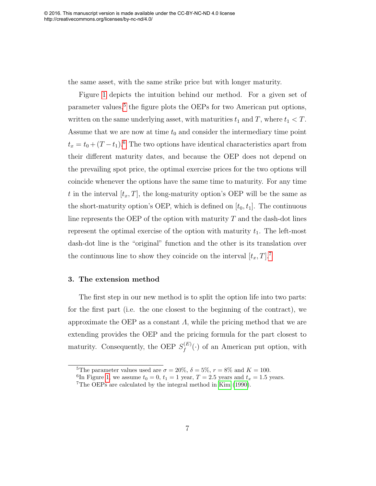<span id="page-7-0"></span>the same asset, with the same strike price but with longer maturity.

Figure [1](#page-31-0) depicts the intuition behind our method. For a given set of parameter values,<sup>[5](#page-0-0)</sup> the figure plots the OEPs for two American put options, written on the same underlying asset, with maturities  $t_1$  and T, where  $t_1 < T$ . Assume that we are now at time  $t_0$  and consider the intermediary time point  $t_x = t_0 + (T - t_1)^{6}$  $t_x = t_0 + (T - t_1)^{6}$  $t_x = t_0 + (T - t_1)^{6}$  The two options have identical characteristics apart from their different maturity dates, and because the OEP does not depend on the prevailing spot price, the optimal exercise prices for the two options will coincide whenever the options have the same time to maturity. For any time t in the interval  $[t_x, T]$ , the long-maturity option's OEP will be the same as the short-maturity option's OEP, which is defined on  $[t_0, t_1]$ . The continuous line represents the OEP of the option with maturity  $T$  and the dash-dot lines represent the optimal exercise of the option with maturity  $t_1$ . The left-most dash-dot line is the "original" function and the other is its translation over the continuous line to show they coincide on the interval  $[t_x, T]$ .<sup>[7](#page-0-0)</sup>

#### 3. The extension method

The first step in our new method is to split the option life into two parts: for the first part (i.e. the one closest to the beginning of the contract), we approximate the OEP as a constant  $\Lambda$ , while the pricing method that we are extending provides the OEP and the pricing formula for the part closest to maturity. Consequently, the OEP  $S_f^{(E)}$  $f_f^{(E)}(\cdot)$  of an American put option, with

<sup>&</sup>lt;sup>5</sup>The parameter values used are  $\sigma = 20\%$ ,  $\delta = 5\%$ ,  $r = 8\%$  and  $K = 100$ .

<sup>&</sup>lt;sup>6</sup>In Figure [1,](#page-31-0) we assume  $t_0 = 0$ ,  $t_1 = 1$  year,  $T = 2.5$  years and  $t_x = 1.5$  years.

<sup>7</sup>The OEPs are calculated by the integral method in [Kim \(1990\)](#page-22-3).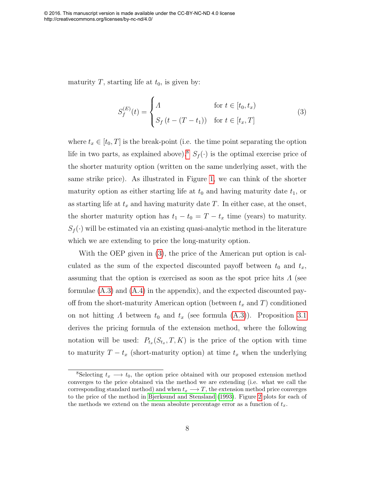maturity T, starting life at  $t_0$ , is given by:

$$
S_f^{(E)}(t) = \begin{cases} A & \text{for } t \in [t_0, t_x) \\ S_f(t - (T - t_1)) & \text{for } t \in [t_x, T] \end{cases}
$$
(3)

where  $t_x \in [t_0, T]$  is the break-point (i.e. the time point separating the option life in two parts, as explained above).<sup>[8](#page-0-0)</sup>  $S_f(\cdot)$  is the optimal exercise price of the shorter maturity option (written on the same underlying asset, with the same strike price). As illustrated in Figure [1,](#page-31-0) we can think of the shorter maturity option as either starting life at  $t_0$  and having maturity date  $t_1$ , or as starting life at  $t_x$  and having maturity date T. In either case, at the onset, the shorter maturity option has  $t_1 - t_0 = T - t_x$  time (years) to maturity.  $S_f(\cdot)$  will be estimated via an existing quasi-analytic method in the literature which we are extending to price the long-maturity option.

<span id="page-8-1"></span><span id="page-8-0"></span>With the OEP given in [\(3\)](#page-7-0), the price of the American put option is calculated as the sum of the expected discounted payoff between  $t_0$  and  $t_x$ , assuming that the option is exercised as soon as the spot price hits  $\Lambda$  (see formulae [\(A.3\)](#page-25-0) and [\(A.4\)](#page-25-1) in the appendix), and the expected discounted payoff from the short-maturity American option (between  $t_x$  and T) conditioned on not hitting  $\Lambda$  between  $t_0$  and  $t_x$  (see formula [\(A.3\)](#page-25-0)). Proposition [3.1](#page-8-0) derives the pricing formula of the extension method, where the following notation will be used:  $P_{t_x}(S_{t_x}, T, K)$  is the price of the option with time to maturity  $T - t_x$  (short-maturity option) at time  $t_x$  when the underlying

<sup>&</sup>lt;sup>8</sup>Selecting  $t_x \longrightarrow t_0$ , the option price obtained with our proposed extension method converges to the price obtained via the method we are extending (i.e. what we call the corresponding standard method) and when  $t_x \longrightarrow T$ , the extension method price converges to the price of the method in [Bjerksund and Stensland \(1993\)](#page-20-4). Figure [2](#page-32-0) plots for each of the methods we extend on the mean absolute percentage error as a function of  $t_x$ .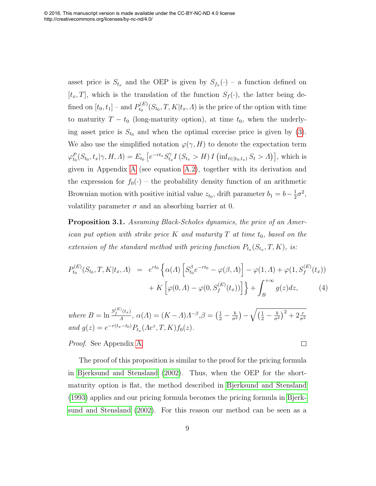<span id="page-9-2"></span>asset price is  $S_{t_x}$  and the OEP is given by  $S_{f_x}(\cdot)$  – a function defined on  $[t_x, T]$ , which is the translation of the function  $S_f(\cdot)$ , the latter being defined on  $[t_0, t_1]$  – and  $P_{t_0}^{(E)}$  $t_0^{(E)}(S_{t_0}, T, K | t_x, \Lambda)$  is the price of the option with time to maturity  $T - t_0$  (long-maturity option), at time  $t_0$ , when the underlying asset price is  $S_{t_0}$  and when the optimal exercise price is given by [\(3\)](#page-7-0). We also use the simplified notation  $\varphi(\gamma, H)$  to denote the expectation term  $\varphi_{t_0}^P(S_{t_0}, t_x | \gamma, H, \Lambda) = E_{t_0} \left[ e^{-rt_x} S_{t_x}^{\gamma} \right]$  $\int_{t_x}^{\gamma} I(S_{t_x} > H) I(\inf_{t \in [t_0, t_x)} S_t > \Lambda)$ , which is given in Appendix [A](#page-24-1) (see equation [A.2\)](#page-24-2), together with its derivation and the expression for  $f_0(\cdot)$  – the probability density function of an arithmetic Brownian motion with positive initial value  $z_{t_0}$ , drift parameter  $b_1 = b - \frac{1}{2}$  $rac{1}{2}\sigma^2$ , volatility parameter  $\sigma$  and an absorbing barrier at 0.

Proposition 3.1. Assuming Black-Scholes dynamics, the price of an American put option with strike price K and maturity T at time  $t_0$ , based on the extension of the standard method with pricing function  $P_{t_x}(S_{t_x}, T, K)$ , is:

$$
P_{t_0}^{(E)}(S_{t_0}, T, K | t_x, \Lambda) = e^{rt_0} \left\{ \alpha(\Lambda) \left[ S_{t_0}^{\beta} e^{-rt_0} - \varphi(\beta, \Lambda) \right] - \varphi(1, \Lambda) + \varphi(1, S_f^{(E)}(t_x)) \right\} + K \left[ \varphi(0, \Lambda) - \varphi(0, S_f^{(E)}(t_x)) \right] \right\} + \int_B^{+\infty} g(z) dz, \tag{4}
$$

 $\Box$ 

<span id="page-9-0"></span>where  $B = \ln \frac{S_f^{(E)}(t_x)}{\Lambda}$  $\frac{\partial (t_x)}{\partial A}$ ,  $\alpha(A) = (K - A)A^{-\beta}$ ,  $\beta = (\frac{1}{2} - \frac{b}{\sigma^2})$  $\frac{b}{\sigma^2}\big)-\sqrt{\big(\frac{1}{2}-\frac{b}{\sigma^2}}$  $\frac{b}{\sigma^2}\Big)^2+2\frac{r}{\sigma^2}$ and  $g(z) = e^{-r(t_x - t_0)} P_{t_x}(\Lambda e^z, T, K) f_0(z)$ .

<span id="page-9-1"></span>Proof. See Appendix [A.](#page-24-1)

The proof of this proposition is similar to the proof for the pricing formula in [Bjerksund and Stensland \(2002\)](#page-20-5). Thus, when the OEP for the shortmaturity option is flat, the method described in [Bjerksund and Stensland](#page-20-4) [\(1993\)](#page-20-4) applies and our pricing formula becomes the pricing formula in [Bjerk](#page-20-5)[sund and Stensland \(2002\)](#page-20-5). For this reason our method can be seen as a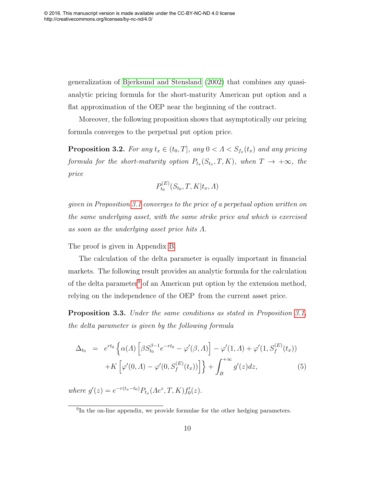generalization of [Bjerksund and Stensland \(2002\)](#page-20-5) that combines any quasianalytic pricing formula for the short-maturity American put option and a flat approximation of the OEP near the beginning of the contract.

Moreover, the following proposition shows that asymptotically our pricing formula converges to the perpetual put option price.

**Proposition 3.2.** For any  $t_x \in (t_0, T]$ , any  $0 < A < S_{f_x}(t_x)$  and any pricing formula for the short-maturity option  $P_{t_x}(S_{t_x}, T, K)$ , when  $T \to +\infty$ , the price

$$
P_{t_0}^{(E)}(S_{t_0}, T, K | t_x, \Lambda)
$$

<span id="page-10-0"></span>given in Proposition [3.1](#page-8-0) converges to the price of a perpetual option written on the same underlying asset, with the same strike price and which is exercised as soon as the underlying asset price hits  $\Lambda$ .

The proof is given in Appendix [B.](#page-26-0)

The calculation of the delta parameter is equally important in financial markets. The following result provides an analytic formula for the calculation of the delta parameter<sup>[9](#page-0-0)</sup> of an American put option by the extension method, relying on the independence of the OEP from the current asset price.

Proposition 3.3. Under the same conditions as stated in Proposition [3.1,](#page-8-0) the delta parameter is given by the following formula

$$
\Delta_{t_0} = e^{rt_0} \left\{ \alpha(A) \left[ \beta S_{t_0}^{\beta-1} e^{-rt_0} - \varphi'(\beta, A) \right] - \varphi'(1, A) + \varphi'(1, S_f^{(E)}(t_x)) \right\} + K \left[ \varphi'(0, A) - \varphi'(0, S_f^{(E)}(t_x)) \right] \right\} + \int_B^{+\infty} g'(z) dz,
$$
\n(5)

where  $g'(z) = e^{-r(t_x-t_0)} P_{t_x}(Ae^z, T, K) f_0'(z)$ .

<sup>&</sup>lt;sup>9</sup>In the on-line appendix, we provide formulae for the other hedging parameters.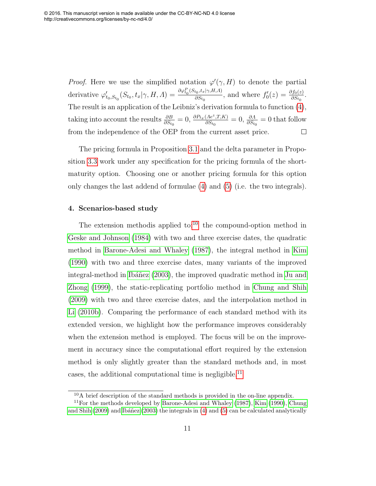*Proof.* Here we use the simplified notation  $\varphi'(\gamma, H)$  to denote the partial derivative  $\varphi'_{t_0, S_{t_0}}(S_{t_0}, t_x | \gamma, H, \Lambda) = \frac{\partial \varphi_{t_0}^P(S_{t_0}, t_x | \gamma, H, \Lambda)}{\partial S_{t_0}}$  $\frac{\partial f_0, t_x | \gamma, H, \Lambda)}{\partial S_{t_0}}$ , and where  $f'_0(z) = \frac{\partial f_0(z)}{\partial S_{t_0}}$ . The result is an application of the Leibniz's derivation formula to function [\(4\)](#page-8-1), taking into account the results  $\frac{\partial B}{\partial S_{t_0}} = 0$ ,  $\frac{\partial P_{t_x}(Ae^z, T, K)}{\partial S_{t_0}}$  $\frac{(\Lambda e^z, T, K)}{\partial S_{t_0}} = 0$ ,  $\frac{\partial \Lambda}{\partial S_{t_0}} = 0$  that follow from the independence of the OEP from the current asset price.  $\Box$ 

The pricing formula in Proposition [3.1](#page-8-0) and the delta parameter in Proposition [3.3](#page-9-0) work under any specification for the pricing formula of the shortmaturity option. Choosing one or another pricing formula for this option only changes the last addend of formulae [\(4\)](#page-8-1) and [\(5\)](#page-9-1) (i.e. the two integrals).

#### 4. Scenarios-based study

The extension methodis applied to: $10$  the compound-option method in [Geske and Johnson \(1984\)](#page-21-0) with two and three exercise dates, the quadratic method in [Barone-Adesi and Whaley \(1987\)](#page-20-1), the integral method in [Kim](#page-22-3) [\(1990\)](#page-22-3) with two and three exercise dates, many variants of the improved integral-method in Ibáñez (2003), the improved quadratic method in [Ju and](#page-22-0) [Zhong \(1999\)](#page-22-0), the static-replicating portfolio method in [Chung and Shih](#page-21-6) [\(2009\)](#page-21-6) with two and three exercise dates, and the interpolation method in [Li \(2010b\)](#page-23-2). Comparing the performance of each standard method with its extended version, we highlight how the performance improves considerably when the extension method is employed. The focus will be on the improvement in accuracy since the computational effort required by the extension method is only slightly greater than the standard methods and, in most cases, the additional computational time is negligible.<sup>[11](#page-0-0)</sup>

 $10$ A brief description of the standard methods is provided in the on-line appendix.

<sup>&</sup>lt;sup>11</sup>For the methods developed by Barone-Adesi and Whaley  $(1987)$ , Kim  $(1990)$ , [Chung](#page-21-6) and Shih  $(2009)$  and Ibáñez  $(2003)$  the integrals in  $(4)$  and  $(5)$  can be calculated analytically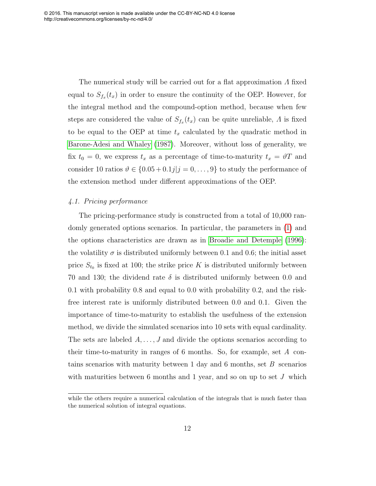The numerical study will be carried out for a flat approximation Λ fixed equal to  $S_{f_x}(t_x)$  in order to ensure the continuity of the OEP. However, for the integral method and the compound-option method, because when few steps are considered the value of  $S_{f_x}(t_x)$  can be quite unreliable,  $\Lambda$  is fixed to be equal to the OEP at time  $t_x$  calculated by the quadratic method in [Barone-Adesi and Whaley \(1987\)](#page-20-1). Moreover, without loss of generality, we fix  $t_0 = 0$ , we express  $t_x$  as a percentage of time-to-maturity  $t_x = \vartheta T$  and consider 10 ratios  $\vartheta \in \{0.05 + 0.1j | j = 0, \ldots, 9\}$  to study the performance of the extension method under different approximations of the OEP.

#### 4.1. Pricing performance

The pricing-performance study is constructed from a total of 10,000 randomly generated options scenarios. In particular, the parameters in [\(1\)](#page-4-1) and the options characteristics are drawn as in [Broadie and Detemple \(1996\)](#page-20-3): the volatility  $\sigma$  is distributed uniformly between 0.1 and 0.6; the initial asset price  $S_{t_0}$  is fixed at 100; the strike price K is distributed uniformly between 70 and 130; the dividend rate  $\delta$  is distributed uniformly between 0.0 and 0.1 with probability 0.8 and equal to 0.0 with probability 0.2, and the riskfree interest rate is uniformly distributed between 0.0 and 0.1. Given the importance of time-to-maturity to establish the usefulness of the extension method, we divide the simulated scenarios into 10 sets with equal cardinality. The sets are labeled  $A, \ldots, J$  and divide the options scenarios according to their time-to-maturity in ranges of 6 months. So, for example, set A contains scenarios with maturity between 1 day and 6 months, set  $B$  scenarios with maturities between 6 months and 1 year, and so on up to set  $J$  which

while the others require a numerical calculation of the integrals that is much faster than the numerical solution of integral equations.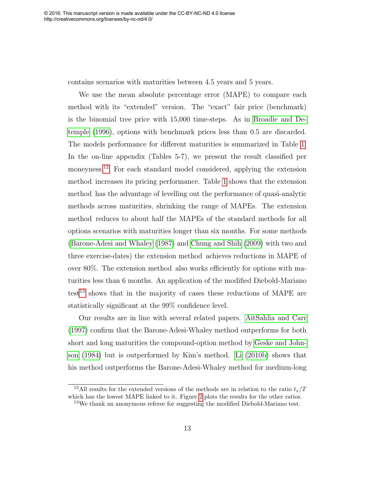contains scenarios with maturities between 4.5 years and 5 years.

We use the mean absolute percentage error (MAPE) to compare each method with its "extended" version. The "exact" fair price (benchmark) is the binomial tree price with 15,000 time-steps. As in [Broadie and De](#page-20-3)[temple \(1996\)](#page-20-3), options with benchmark prices less than 0.5 are discarded. The models performance for different maturities is summarized in Table [1.](#page-27-0) In the on-line appendix (Tables 5-7), we present the result classified per moneyness.<sup>[12](#page-0-0)</sup> For each standard model considered, applying the extension method increases its pricing performance. Table [1](#page-27-0) shows that the extension method has the advantage of levelling out the performance of quasi-analytic methods across maturities, shrinking the range of MAPEs. The extension method reduces to about half the MAPEs of the standard methods for all options scenarios with maturities longer than six months. For some methods [\(Barone-Adesi and Whaley \(1987\)](#page-20-1) and [Chung and Shih \(2009\)](#page-21-6) with two and three exercise-dates) the extension method achieves reductions in MAPE of over 80%. The extension method also works efficiently for options with maturities less than 6 months. An application of the modified Diebold-Mariano  $test<sup>13</sup>$  $test<sup>13</sup>$  $test<sup>13</sup>$  shows that in the majority of cases these reductions of MAPE are statistically significant at the 99% confidence level.

Our results are in line with several related papers. [AitSahlia and Carr](#page-19-1) [\(1997\)](#page-19-1) confirm that the Barone-Adesi-Whaley method outperforms for both short and long maturities the compound-option method by [Geske and John](#page-21-0)[son \(1984\)](#page-21-0) but is outperformed by Kim's method. [Li \(2010b\)](#page-23-2) shows that his method outperforms the Barone-Adesi-Whaley method for medium-long

<sup>&</sup>lt;sup>12</sup>All results for the extended versions of the methods are in relation to the ratio  $t_x/T$ which has the lowest MAPE linked to it. Figure [2](#page-32-0) plots the results for the other ratios.

<sup>13</sup>We thank an anonymous referee for suggesting the modified Diebold-Mariano test.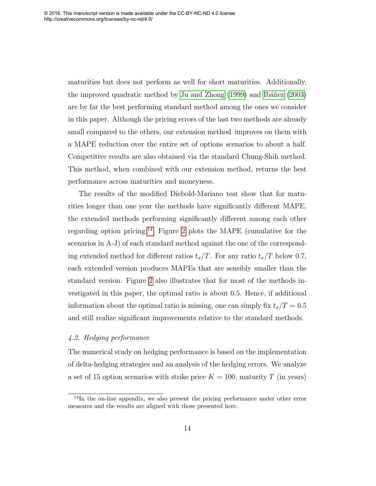maturities but does not perform as well for short maturities. Additionally, the improved quadratic method by Ju and Zhong  $(1999)$  and Ibáñez  $(2003)$ are by far the best performing standard method among the ones we consider in this paper. Although the pricing errors of the last two methods are already small compared to the others, our extension method improves on them with a MAPE reduction over the entire set of options scenarios to about a half. Competitive results are also obtained via the standard Chung-Shih method. This method, when combined with our extension method, returns the best performance across maturities and moneyness.

<span id="page-14-0"></span>The results of the modified Diebold-Mariano test show that for maturities longer than one year the methods have significantly different MAPE, the extended methods performing significantly different among each other regarding option pricing.<sup>[14](#page-0-0)</sup> Figure [2](#page-32-0) plots the MAPE (cumulative for the scenarios in A-J) of each standard method against the one of the corresponding extended method for different ratios  $t_x/T$ . For any ratio  $t_x/T$  below 0.7, each extended version produces MAPEs that are sensibly smaller than the standard version. Figure [2](#page-32-0) also illustrates that for most of the methods investigated in this paper, the optimal ratio is about 0.5. Hence, if additional information about the optimal ratio is missing, one can simply fix  $t_x/T = 0.5$ and still realize significant improvements relative to the standard methods.

#### 4.2. Hedging performance

The numerical study on hedging performance is based on the implementation of delta-hedging strategies and an analysis of the hedging errors. We analyze a set of 15 option scenarios with strike price  $K = 100$ , maturity T (in years)

<sup>&</sup>lt;sup>14</sup>In the on-line appendix, we also present the pricing performance under other error measures and the results are aligned with those presented here.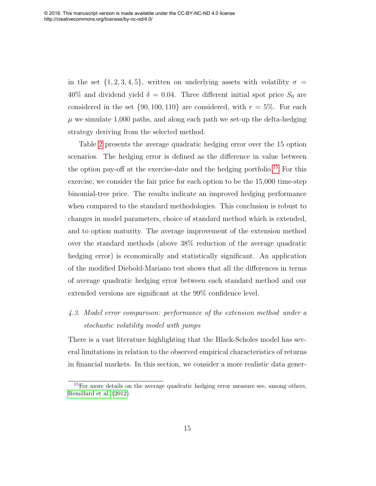<span id="page-15-0"></span>in the set  $\{1, 2, 3, 4, 5\}$ , written on underlying assets with volatility  $\sigma =$ 40% and dividend yield  $\delta = 0.04$ . Three different initial spot price  $S_0$  are considered in the set  $\{90, 100, 110\}$  are considered, with  $r = 5\%$ . For each  $\mu$  we simulate 1,000 paths, and along each path we set-up the delta-hedging strategy deriving from the selected method.

Table [2](#page-28-0) presents the average quadratic hedging error over the 15 option scenarios. The hedging error is defined as the difference in value between the option pay-off at the exercise-date and the hedging portfolio.<sup>[15](#page-0-0)</sup> For this exercise, we consider the fair price for each option to be the 15,000 time-step binomial-tree price. The results indicate an improved hedging performance when compared to the standard methodologies. This conclusion is robust to changes in model parameters, choice of standard method which is extended, and to option maturity. The average improvement of the extension method over the standard methods (above 38% reduction of the average quadratic hedging error) is economically and statistically significant. An application of the modified Diebold-Mariano test shows that all the differences in terms of average quadratic hedging error between each standard method and our extended versions are significant at the 99% confidence level.

## 4.3. Model error comparison: performance of the extension method under a stochastic volatility model with jumps

There is a vast literature highlighting that the Black-Scholes model has several limitations in relation to the observed empirical characteristics of returns in financial markets. In this section, we consider a more realistic data gener-

 $15$ For more details on the average quadratic hedging error measure see, among others, [Remillard et al. \(2012\)](#page-23-3).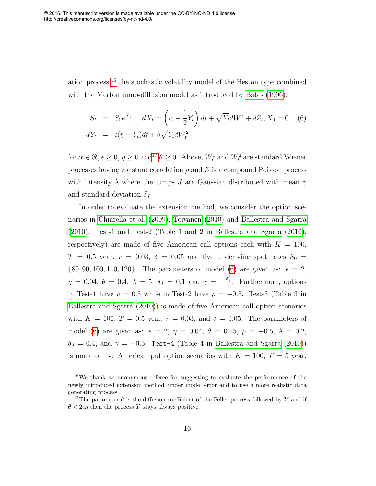ation process,[16](#page-0-0) the stochastic volatility model of the Heston type combined with the Merton jump-diffusion model as introduced by [Bates \(1996\)](#page-20-6):

$$
S_t = S_0 e^{X_t}, \quad dX_t = \left(\alpha - \frac{1}{2}Y_t\right)dt + \sqrt{Y_t}dW_t^1 + dZ_t, X_0 = 0 \quad (6)
$$
  

$$
dY_t = \epsilon(\eta - Y_t)dt + \theta\sqrt{Y_t}dW_t^2
$$

for  $\alpha \in \Re$ ,  $\epsilon \geq 0$ ,  $\eta \geq 0$  and<sup>[17](#page-0-0)</sup>  $\theta \geq 0$ . Above,  $W_t^1$  and  $W_t^2$  are standard Wiener processes having constant correlation  $\rho$  and Z is a compound Poisson process with intensity  $\lambda$  where the jumps J are Gaussian distributed with mean  $\gamma$ and standard deviation  $\delta_J$ .

<span id="page-16-0"></span>In order to evaluate the extension method, we consider the option scenarios in [Chiarella et al. \(2009\)](#page-20-7), [Toivanen \(2010\)](#page-23-4) and [Ballestra and Sgarra](#page-19-2) [\(2010\)](#page-19-2). Test-1 and Test-2 (Table 1 and 2 in [Ballestra and Sgarra \(2010\)](#page-19-2), respectively) are made of five American call options each with  $K = 100$ ,  $T = 0.5$  year,  $r = 0.03$ ,  $\delta = 0.05$  and five underlying spot rates  $S_0 =$  $\{80, 90, 100, 110, 120\}$ . The parameters of model [\(6\)](#page-15-0) are given as:  $\epsilon = 2$ ,  $\eta = 0.04, \ \theta = 0.4, \ \lambda = 5, \ \delta_J = 0.1 \text{ and } \gamma = -\frac{\delta_J^2}{2}.$  Furthermore, options in Test-1 have  $\rho = 0.5$  while in Test-2 have  $\rho = -0.5$ . Test-3 (Table 3 in [Ballestra and Sgarra \(2010\)](#page-19-2)) is made of five American call option scenarios with  $K = 100$ ,  $T = 0.5$  year,  $r = 0.03$ , and  $\delta = 0.05$ . The parameters of model [\(6\)](#page-15-0) are given as:  $\epsilon = 2, \eta = 0.04, \theta = 0.25, \rho = -0.5, \lambda = 0.2,$  $\delta_J = 0.4$ , and  $\gamma = -0.5$ . Test-4 (Table 4 in [Ballestra and Sgarra \(2010\)](#page-19-2)) is made of five American put option scenarios with  $K = 100, T = 5$  year,

<sup>16</sup>We thank an anonymous referee for suggesting to evaluate the performance of the newly introduced extension method under model error and to use a more realistic data generating process.

<sup>&</sup>lt;sup>17</sup>The parameter  $\theta$  is the diffusion coefficient of the Feller process followed by Y and if  $\theta$  < 2 $\epsilon \eta$  then the process Y stays always positive.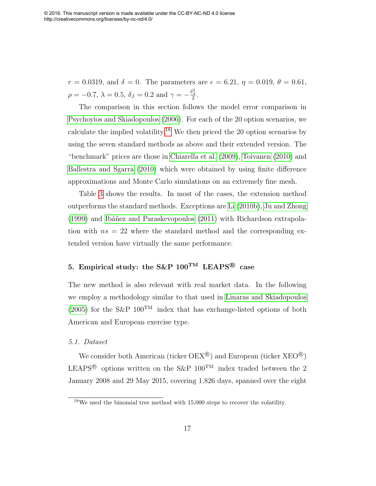$r = 0.0319$ , and  $\delta = 0$ . The parameters are  $\epsilon = 6.21$ ,  $\eta = 0.019$ ,  $\theta = 0.61$ ,  $\rho = -0.7, \lambda = 0.5, \delta_J = 0.2 \text{ and } \gamma = -\frac{\delta_J^2}{2}.$ 

The comparison in this section follows the model error comparison in [Psychoyios and Skiadopoulos \(2006\)](#page-23-5). For each of the 20 option scenarios, we calculate the implied volatility.<sup>[18](#page-0-0)</sup> We then priced the 20 option scenarios by using the seven standard methods as above and their extended version. The "benchmark" prices are those in [Chiarella et al. \(2009\)](#page-20-7), [Toivanen \(2010\)](#page-23-4) and [Ballestra and Sgarra \(2010\)](#page-19-2) which were obtained by using finite difference approximations and Monte Carlo simulations on an extremely fine mesh.

Table [3](#page-29-0) shows the results. In most of the cases, the extension method outperforms the standard methods. Exceptions are [Li \(2010b\)](#page-23-2), [Ju and Zhong](#page-22-0)  $(1999)$  and Ibáñez and Paraskevopoulos  $(2011)$  with Richardson extrapolation with  $ns = 22$  where the standard method and the corresponding extended version have virtually the same performance.

#### 5. Empirical study: the S&P  $100^{TM}$  LEAPS<sup>®</sup> case

The new method is also relevant with real market data. In the following we employ a methodology similar to that used in [Linaras and Skiadopoulos](#page-23-6) [\(2005\)](#page-23-6) for the S&P  $100^{TM}$  index that has exchange-listed options of both American and European exercise type.

#### 5.1. Dataset

We consider both American (ticker  $OEX^{\circledR}$ ) and European (ticker  $XEO^{\circledR}$ ) LEAPS<sup>®</sup> options written on the S&P  $100^{TM}$  index traded between the 2 January 2008 and 29 May 2015, covering 1,826 days, spanned over the eight

<sup>18</sup>We used the binomial tree method with 15,000 steps to recover the volatility.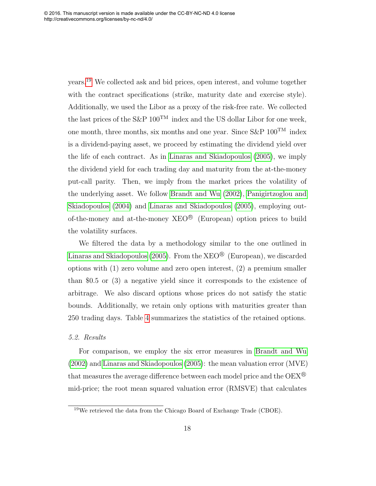years.[19](#page-0-0) We collected ask and bid prices, open interest, and volume together with the contract specifications (strike, maturity date and exercise style). Additionally, we used the Libor as a proxy of the risk-free rate. We collected the last prices of the S&P  $100^{TM}$  index and the US dollar Libor for one week, one month, three months, six months and one year. Since  $S\&P$  100<sup>TM</sup> index is a dividend-paying asset, we proceed by estimating the dividend yield over the life of each contract. As in [Linaras and Skiadopoulos \(2005\)](#page-23-6), we imply the dividend yield for each trading day and maturity from the at-the-money put-call parity. Then, we imply from the market prices the volatility of the underlying asset. We follow [Brandt and Wu \(2002\)](#page-20-8), [Panigirtzoglou and](#page-23-7) [Skiadopoulos \(2004\)](#page-23-7) and [Linaras and Skiadopoulos \(2005\)](#page-23-6), employing outof-the-money and at-the-money  $XEO^{\otimes}$  (European) option prices to build the volatility surfaces.

We filtered the data by a methodology similar to the one outlined in [Linaras and Skiadopoulos \(2005\)](#page-23-6). From the  $\rm XEO^{\textcircled{B}}} \;$  (European), we discarded options with (1) zero volume and zero open interest, (2) a premium smaller than \$0.5 or (3) a negative yield since it corresponds to the existence of arbitrage. We also discard options whose prices do not satisfy the static bounds. Additionally, we retain only options with maturities greater than 250 trading days. Table [4](#page-30-0) summarizes the statistics of the retained options.

#### 5.2. Results

For comparison, we employ the six error measures in [Brandt and Wu](#page-20-8) [\(2002\)](#page-20-8) and [Linaras and Skiadopoulos \(2005\)](#page-23-6): the mean valuation error (MVE) that measures the average difference between each model price and the  $OEX^{\textcircled{g}}$ mid-price; the root mean squared valuation error (RMSVE) that calculates

<sup>19</sup>We retrieved the data from the Chicago Board of Exchange Trade (CBOE).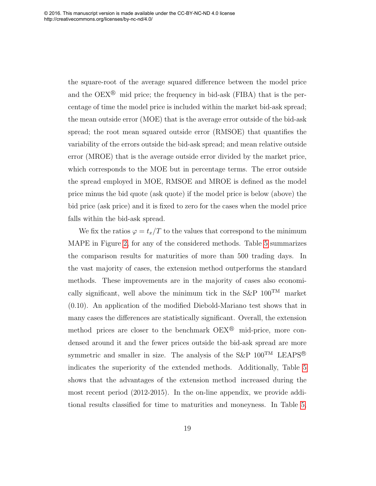<span id="page-19-0"></span>the square-root of the average squared difference between the model price and the  $OEX^{\circledR}$  mid price; the frequency in bid-ask (FIBA) that is the percentage of time the model price is included within the market bid-ask spread; the mean outside error (MOE) that is the average error outside of the bid-ask spread; the root mean squared outside error (RMSOE) that quantifies the variability of the errors outside the bid-ask spread; and mean relative outside error (MROE) that is the average outside error divided by the market price, which corresponds to the MOE but in percentage terms. The error outside the spread employed in MOE, RMSOE and MROE is defined as the model price minus the bid quote (ask quote) if the model price is below (above) the bid price (ask price) and it is fixed to zero for the cases when the model price falls within the bid-ask spread.

<span id="page-19-3"></span><span id="page-19-2"></span><span id="page-19-1"></span>We fix the ratios  $\varphi = t_x/T$  to the values that correspond to the minimum MAPE in Figure [2,](#page-32-0) for any of the considered methods. Table [5](#page-30-1) summarizes the comparison results for maturities of more than 500 trading days. In the vast majority of cases, the extension method outperforms the standard methods. These improvements are in the majority of cases also economically significant, well above the minimum tick in the S&P  $100^{TM}$  market (0.10). An application of the modified Diebold-Mariano test shows that in many cases the differences are statistically significant. Overall, the extension method prices are closer to the benchmark  $OEX^{\circledR}$  mid-price, more condensed around it and the fewer prices outside the bid-ask spread are more symmetric and smaller in size. The analysis of the S&P  $100^{TM}$  LEAPS<sup>®</sup> indicates the superiority of the extended methods. Additionally, Table [5](#page-30-1) shows that the advantages of the extension method increased during the most recent period (2012-2015). In the on-line appendix, we provide additional results classified for time to maturities and moneyness. In Table [5,](#page-30-1)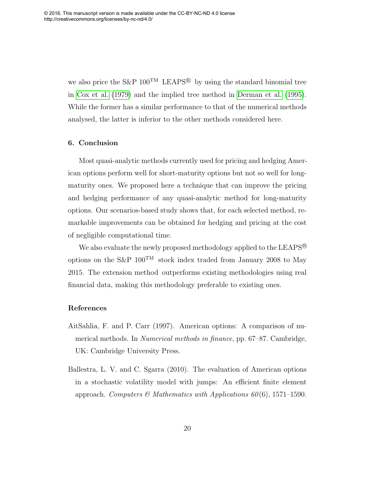<span id="page-20-6"></span><span id="page-20-1"></span>we also price the S&P  $100^{TM}$  LEAPS<sup>®</sup> by using the standard binomial tree in [Cox et al. \(1979\)](#page-21-7) and the implied tree method in [Derman et al. \(1995\)](#page-21-8). While the former has a similar performance to that of the numerical methods analysed, the latter is inferior to the other methods considered here.

#### <span id="page-20-4"></span>6. Conclusion

<span id="page-20-5"></span>Most quasi-analytic methods currently used for pricing and hedging American options perform well for short-maturity options but not so well for longmaturity ones. We proposed here a technique that can improve the pricing and hedging performance of any quasi-analytic method for long-maturity options. Our scenarios-based study shows that, for each selected method, remarkable improvements can be obtained for hedging and pricing at the cost of negligible computational time.

<span id="page-20-9"></span><span id="page-20-8"></span><span id="page-20-3"></span>We also evaluate the newly proposed methodology applied to the LEAPS<sup>®</sup> options on the S&P  $100^{TM}$  stock index traded from January 2008 to May 2015. The extension method outperforms existing methodologies using real financial data, making this methodology preferable to existing ones.

#### <span id="page-20-0"></span>References

- <span id="page-20-2"></span>AitSahlia, F. and P. Carr (1997). American options: A comparison of numerical methods. In Numerical methods in finance, pp. 67–87. Cambridge, UK: Cambridge University Press.
- <span id="page-20-7"></span>Ballestra, L. V. and C. Sgarra (2010). The evaluation of American options in a stochastic volatility model with jumps: An efficient finite element approach. Computers & Mathematics with Applications  $60(6)$ , 1571–1590.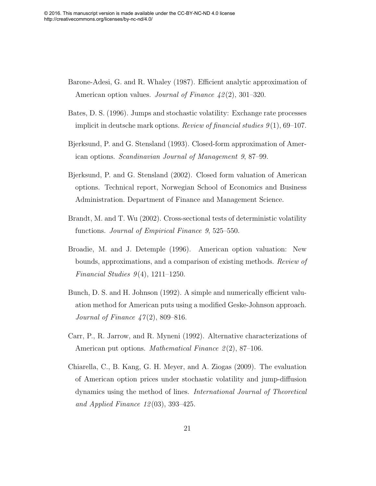- <span id="page-21-4"></span>Barone-Adesi, G. and R. Whaley (1987). Efficient analytic approximation of American option values. *Journal of Finance 42(2)*, 301–320.
- <span id="page-21-3"></span>Bates, D. S. (1996). Jumps and stochastic volatility: Exchange rate processes implicit in deutsche mark options. Review of financial studies  $9(1)$ , 69-107.
- Bjerksund, P. and G. Stensland (1993). Closed-form approximation of American options. Scandinavian Journal of Management 9, 87–99.
- <span id="page-21-6"></span><span id="page-21-2"></span>Bjerksund, P. and G. Stensland (2002). Closed form valuation of American options. Technical report, Norwegian School of Economics and Business Administration. Department of Finance and Management Science.
- <span id="page-21-7"></span>Brandt, M. and T. Wu (2002). Cross-sectional tests of deterministic volatility functions. Journal of Empirical Finance 9, 525–550.
- <span id="page-21-8"></span>Broadie, M. and J. Detemple (1996). American option valuation: New bounds, approximations, and a comparison of existing methods. Review of Financial Studies  $9(4)$ , 1211–1250.
- <span id="page-21-5"></span>Bunch, D. S. and H. Johnson (1992). A simple and numerically efficient valuation method for American puts using a modified Geske-Johnson approach. *Journal of Finance*  $47(2)$ , 809–816.
- <span id="page-21-0"></span>Carr, P., R. Jarrow, and R. Myneni (1992). Alternative characterizations of American put options. *Mathematical Finance*  $2(2)$ , 87–106.
- <span id="page-21-1"></span>Chiarella, C., B. Kang, G. H. Meyer, and A. Ziogas (2009). The evaluation of American option prices under stochastic volatility and jump-diffusion dynamics using the method of lines. International Journal of Theoretical and Applied Finance 12 (03), 393–425.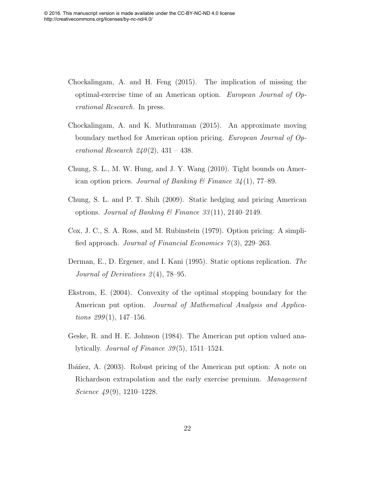- <span id="page-22-6"></span>Chockalingam, A. and H. Feng (2015). The implication of missing the optimal-exercise time of an American option. European Journal of Operational Research. In press.
- <span id="page-22-7"></span>Chockalingam, A. and K. Muthuraman (2015). An approximate moving boundary method for American option pricing. European Journal of Operational Research  $240(2)$ ,  $431 - 438$ .
- <span id="page-22-2"></span><span id="page-22-0"></span>Chung, S. L., M. W. Hung, and J. Y. Wang (2010). Tight bounds on American option prices. Journal of Banking & Finance  $34(1)$ , 77–89.
- Chung, S. L. and P. T. Shih (2009). Static hedging and pricing American options. Journal of Banking & Finance  $33(11)$ , 2140–2149.
- <span id="page-22-8"></span>Cox, J. C., S. A. Ross, and M. Rubinstein (1979). Option pricing: A simplified approach. Journal of Financial Economics  $7(3)$ , 229–263.
- <span id="page-22-3"></span>Derman, E., D. Ergener, and I. Kani (1995). Static options replication. The Journal of Derivatives  $2(4)$ , 78–95.
- <span id="page-22-4"></span>Ekstrom, E. (2004). Convexity of the optimal stopping boundary for the American put option. Journal of Mathematical Analysis and Applica*tions*  $299(1)$ , 147–156.
- <span id="page-22-5"></span>Geske, R. and H. E. Johnson (1984). The American put option valued analytically. Journal of Finance  $39(5)$ , 1511–1524.
- <span id="page-22-1"></span>Ibáñez, A. (2003). Robust pricing of the American put option: A note on Richardson extrapolation and the early exercise premium. Management Science  $49(9)$ , 1210–1228.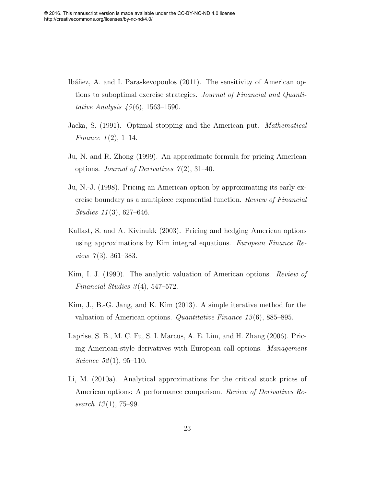- <span id="page-23-2"></span>Ibáñez, A. and I. Paraskevopoulos (2011). The sensitivity of American options to suboptimal exercise strategies. Journal of Financial and Quantitative Analysis  $45(6)$ , 1563–1590.
- <span id="page-23-6"></span>Jacka, S. (1991). Optimal stopping and the American put. Mathematical Finance  $1(2)$ , 1–14.
- <span id="page-23-0"></span>Ju, N. and R. Zhong (1999). An approximate formula for pricing American options. Journal of Derivatives  $7(2)$ , 31–40.
- <span id="page-23-1"></span>Ju, N.-J. (1998). Pricing an American option by approximating its early exercise boundary as a multipiece exponential function. Review of Financial Studies 11(3), 627–646.
- <span id="page-23-7"></span>Kallast, S. and A. Kivinukk (2003). Pricing and hedging American options using approximations by Kim integral equations. European Finance Re*view*  $7(3)$ , 361–383.
- <span id="page-23-8"></span><span id="page-23-5"></span>Kim, I. J. (1990). The analytic valuation of American options. Review of Financial Studies  $3(4)$ , 547–572.
- Kim, J., B.-G. Jang, and K. Kim (2013). A simple iterative method for the valuation of American options. Quantitative Finance  $13(6)$ , 885–895.
- <span id="page-23-3"></span>Laprise, S. B., M. C. Fu, S. I. Marcus, A. E. Lim, and H. Zhang (2006). Pricing American-style derivatives with European call options. Management Science  $52(1), 95-110$ .
- <span id="page-23-4"></span>Li, M. (2010a). Analytical approximations for the critical stock prices of American options: A performance comparison. Review of Derivatives Research  $13(1)$ , 75–99.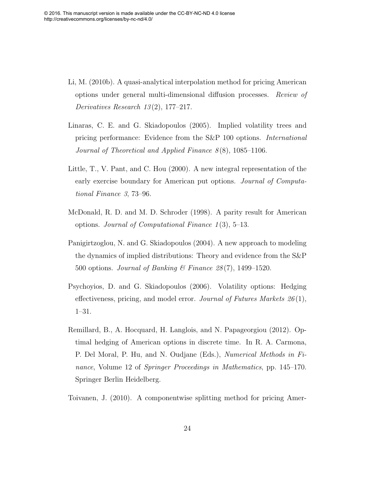- Li, M. (2010b). A quasi-analytical interpolation method for pricing American options under general multi-dimensional diffusion processes. Review of Derivatives Research  $13(2)$ , 177–217.
- <span id="page-24-0"></span>Linaras, C. E. and G. Skiadopoulos (2005). Implied volatility trees and pricing performance: Evidence from the S&P 100 options. International Journal of Theoretical and Applied Finance  $8(8)$ , 1085–1106.
- <span id="page-24-1"></span>Little, T., V. Pant, and C. Hou (2000). A new integral representation of the early exercise boundary for American put options. Journal of Computational Finance 3, 73–96.
- McDonald, R. D. and M. D. Schroder (1998). A parity result for American options. Journal of Computational Finance  $1(3)$ , 5–13.
- Panigirtzoglou, N. and G. Skiadopoulos (2004). A new approach to modeling the dynamics of implied distributions: Theory and evidence from the S&P 500 options. Journal of Banking & Finance  $28(7)$ , 1499–1520.
- <span id="page-24-3"></span>Psychoyios, D. and G. Skiadopoulos (2006). Volatility options: Hedging effectiveness, pricing, and model error. Journal of Futures Markets  $26(1)$ , 1–31.
- Remillard, B., A. Hocquard, H. Langlois, and N. Papageorgiou (2012). Optimal hedging of American options in discrete time. In R. A. Carmona, P. Del Moral, P. Hu, and N. Oudjane (Eds.), Numerical Methods in Finance, Volume 12 of Springer Proceedings in Mathematics, pp. 145–170. Springer Berlin Heidelberg.
- <span id="page-24-2"></span>Toivanen, J. (2010). A componentwise splitting method for pricing Amer-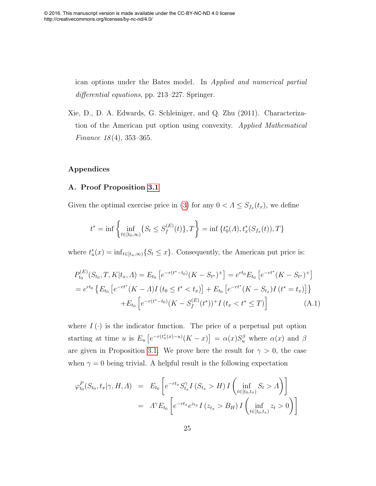ican options under the Bates model. In Applied and numerical partial differential equations, pp. 213–227. Springer.

Xie, D., D. A. Edwards, G. Schleiniger, and Q. Zhu (2011). Characterization of the American put option using convexity. Applied Mathematical Finance  $18(4)$ , 353-365.

#### Appendices

#### <span id="page-25-0"></span>A. Proof Proposition [3.1](#page-8-0)

Given the optimal exercise price in [\(3\)](#page-7-0) for any  $0 < \Lambda \leq S_{f_x}(t_x)$ , we define

$$
t^* = \inf \left\{ \inf_{t \in [t_0, \infty)} \{ S_t \le S_f^{(E)}(t) \}, T \right\} = \inf \{ t_0^*(\Lambda), t_x^*(S_{f_x}(t)), T \}
$$

<span id="page-25-1"></span>where  $t^*_u(x) = \inf_{t \in [t_u, \infty)} \{S_t \leq x\}$ . Consequently, the American put price is:

$$
P_{t_0}^{(E)}(S_{t_0}, T, K | t_x, \Lambda) = E_{t_0} \left[ e^{-r(t^* - t_0)} (K - S_{t^*})^+ \right] = e^{rt_0} E_{t_0} \left[ e^{-rt^*} (K - S_{t^*})^+ \right]
$$
  
=  $e^{rt_0} \left\{ E_{t_0} \left[ e^{-rt^*} (K - \Lambda) I \left( t_0 \le t^* < t_x \right) \right] + E_{t_0} \left[ e^{-rt^*} (K - S_{t_x}) I \left( t^* = t_x \right) \right] \right\}$   
+  $E_{t_0} \left[ e^{-r(t^* - t_0)} (K - S_f^{(E)}(t^*))^+ I \left( t_x < t^* \le T \right) \right]$  (A.1)

where  $I(\cdot)$  is the indicator function. The price of a perpetual put option starting at time u is  $E_u\left[e^{-r(t_u^*(x)-u)}(K-x)\right] = \alpha(x)S_u^{\beta}$  where  $\alpha(x)$  and  $\beta$ are given in Proposition [3.1.](#page-8-0) We prove here the result for  $\gamma > 0$ , the case when  $\gamma = 0$  being trivial. A helpful result is the following expectation

<span id="page-25-2"></span>
$$
\varphi_{t_0}^P(S_{t_0}, t_x | \gamma, H, \Lambda) = E_{t_0} \left[ e^{-rt_x} S_{t_x}^\gamma I(S_{t_x} > H) I \left( \inf_{t \in [t_0, t_x)} S_t > \Lambda \right) \right]
$$

$$
= \Lambda^\gamma E_{t_0} \left[ e^{-rt_x} e^{z_{t_x}} I(z_{t_x} > B_H) I \left( \inf_{t \in [t_0, t_x)} z_t > 0 \right) \right]
$$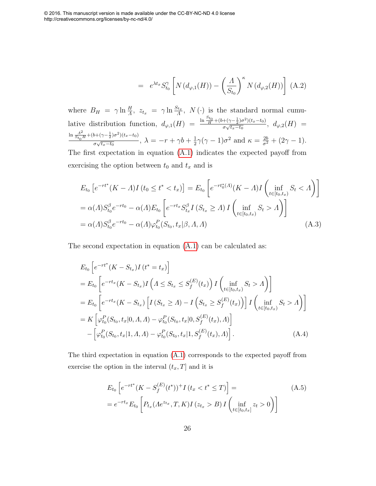$$
= e^{\lambda t_x} S_{t_0}^{\gamma} \left[ N(d_{\varphi,1}(H)) - \left( \frac{A}{S_{t_0}} \right)^{\kappa} N(d_{\varphi,2}(H)) \right] (A.2)
$$

where  $B_H = \gamma \ln \frac{H}{A}$ ,  $z_{t_x} = \gamma \ln \frac{S_{t_x}}{A}$ ,  $N(\cdot)$  is the standard normal cumulative distribution function,  $d_{\varphi,1}(H) = \frac{\ln \frac{S_{t_0}}{H} + (b + (\gamma - \frac{1}{2})\sigma^2)(t_x - t_0)}{\sigma \sqrt{t_x - t_0}}$  $\frac{\sigma(\sqrt{t_x-t_0})}{\sigma\sqrt{t_x-t_0}},\ d_{\varphi,2}(H) =$  $\ln \frac{A^2}{S t_0 H} + (b + (\gamma - \frac{1}{2})\sigma^2)(t_x - t_0)$  $\frac{1}{\sigma\sqrt{t_x-t_0}}$ ,  $\lambda = -r + \gamma b + \frac{1}{2}$  $\frac{1}{2}\gamma(\gamma-1)\sigma^2$  and  $\kappa = \frac{2b}{\sigma^2} + (2\gamma - 1)$ .

The first expectation in equation [\(A.1\)](#page-24-3) indicates the expected payoff from exercising the option between  $t_0$  and  $t_x$  and is

<span id="page-26-0"></span>
$$
E_{t_0} \left[ e^{-rt^*} (K - A) I \left( t_0 \le t^* < t_x \right) \right] = E_{t_0} \left[ e^{-rt_0^* (A)} (K - A) I \left( \inf_{t \in [t_0, t_x)} S_t < A \right) \right]
$$
\n
$$
= \alpha(A) S_{t_0}^{\beta} e^{-rt_0} - \alpha(A) E_{t_0} \left[ e^{-rt_x} S_{t_x}^{\beta} I \left( S_{t_x} \ge A \right) I \left( \inf_{t \in [t_0, t_x)} S_t > A \right) \right]
$$
\n
$$
= \alpha(A) S_{t_0}^{\beta} e^{-rt_0} - \alpha(A) \varphi_{t_0}^P (S_{t_0}, t_x | \beta, A, A) \tag{A.3}
$$

The second expectation in equation [\(A.1\)](#page-24-3) can be calculated as:

$$
E_{t_0} \left[ e^{-rt^*} (K - S_{t_x}) I(t^* = t_x) \right]
$$
  
=  $E_{t_0} \left[ e^{-rt_x} (K - S_{t_x}) I \left( \Lambda \leq S_{t_x} \leq S_f^{(E)}(t_x) \right) I \left( \inf_{t \in [t_0, t_x)} S_t > \Lambda \right) \right]$   
=  $E_{t_0} \left[ e^{-rt_x} (K - S_{t_x}) \left[ I (S_{t_x} \geq \Lambda) - I \left( S_{t_x} \geq S_f^{(E)}(t_x) \right) \right] I \left( \inf_{t \in [t_0, t_x)} S_t > \Lambda \right) \right]$   
=  $K \left[ \varphi_{t_0}^P (S_{t_0}, t_x | 0, \Lambda, \Lambda) - \varphi_{t_0}^P (S_{t_0}, t_x | 0, S_f^{(E)}(t_x), \Lambda) \right]$   
-  $\left[ \varphi_{t_0}^P (S_{t_0}, t_x | 1, \Lambda, \Lambda) - \varphi_{t_0}^P (S_{t_0}, t_x | 1, S_f^{(E)}(t_x), \Lambda) \right].$  (A.4)

The third expectation in equation [\(A.1\)](#page-24-3) corresponds to the expected payoff from exercise the option in the interval  $(t_x, T]$  and it is

$$
E_{t_0} \left[ e^{-rt^*} (K - S_f^{(E)}(t^*))^+ I (t_x < t^* \le T) \right] =
$$
\n
$$
= e^{-rt_x} E_{t_0} \left[ P_{t_x} (A e^{z_{t_x}}, T, K) I (z_{t_x} > B) I \left( \inf_{t \in [t_0, t_x]} z_t > 0 \right) \right]
$$
\n(A.5)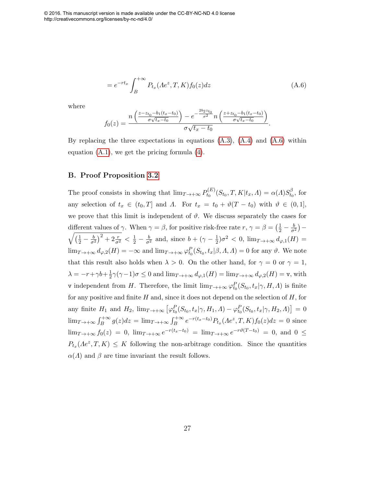© 2016. This manuscript version is made available under the CC-BY-NC-ND 4.0 license http://creativecommons.org/licenses/by-nc-nd/4.0/

$$
= e^{-rt_x} \int_{B}^{+\infty} P_{t_x}(Ae^z, T, K) f_0(z) dz
$$
 (A.6)

<span id="page-27-0"></span>where

$$
f_0(z) = \frac{n\left(\frac{z - z_{t_0} - b_1(t_x - t_0)}{\sigma\sqrt{t_x - t_0}}\right) - e^{-\frac{2b_2 z_{t_0}}{\sigma^2}} n\left(\frac{z + z_{t_0} - b_1(t_x - t_0)}{\sigma\sqrt{t_x - t_0}}\right)}{\sigma\sqrt{t_x - t_0}}.
$$

By replacing the three expectations in equations  $(A.3)$ ,  $(A.4)$  and  $(A.6)$  within equation [\(A.1\)](#page-24-3), we get the pricing formula [\(4\)](#page-8-1).

#### B. Proof Proposition [3.2](#page-9-2)

The proof consists in showing that  $\lim_{T \to +\infty} P_{t_0}^{(E)}$  $t_0^{(E)}(S_{t_0},T,K|t_x,\varLambda)=\alpha(\varLambda)S_{t_0}^{\beta}$  $t_0^{\rho}$ , for any selection of  $t_x \in (t_0, T]$  and  $\Lambda$ . For  $t_x = t_0 + \vartheta(T - t_0)$  with  $\vartheta \in (0, 1],$ we prove that this limit is independent of  $\vartheta$ . We discuss separately the cases for different values of  $\gamma$ . When  $\gamma = \beta$ , for positive risk-free rate  $r, \gamma = \beta = \left(\frac{1}{2} - \frac{b}{\sigma^2}\right)$ different values of  $\gamma$ . When  $\gamma = \beta$ , for positive risk-free rate  $r, \gamma = \beta = (\frac{1}{2} - \frac{1}{\sigma^2}) - \sqrt{(\frac{1}{2} - \frac{b}{\sigma^2})^2 + 2\frac{r}{\sigma^2}} < \frac{1}{2} - \frac{b}{\sigma^2}$  and, since  $b + (\gamma - \frac{1}{2})\sigma^2 < 0$ ,  $\lim_{T \to +\infty} d_{\varphi,1}(H) =$  $\frac{1}{2}$ ) $\sigma^2$  < 0,  $\lim_{T \to +\infty} d_{\varphi,1}(H)$  =  $\lim_{T\to+\infty} d_{\varphi,2}(H) = -\infty$  and  $\lim_{T\to+\infty} \varphi_{t_0}^P(S_{t_0}, t_x | \beta, \Lambda, \Lambda) = 0$  for any  $\vartheta$ . We note that this result also holds when  $\lambda > 0$ . On the other hand, for  $\gamma = 0$  or  $\gamma = 1$ ,  $\lambda = -r + \gamma b + \frac{1}{2}$  $\frac{1}{2}\gamma(\gamma-1)\sigma \leq 0$  and  $\lim_{T\to+\infty} d_{\varphi,1}(H) = \lim_{T\to+\infty} d_{\varphi,2}(H) = \mathsf{v}$ , with v independent from H. Therefore, the limit  $\lim_{T\to+\infty} \varphi_{t_0}^P(S_{t_0}, t_x | \gamma, H, \Lambda)$  is finite for any positive and finite  $H$  and, since it does not depend on the selection of  $H$ , for any finite  $H_1$  and  $H_2$ ,  $\lim_{T \to +\infty} [\varphi_{t_0}^P(S_{t_0}, t_x | \gamma, H_1, \Lambda) - \varphi_{t_0}^P(S_{t_0}, t_x | \gamma, H_2, \Lambda)] = 0$  $\lim_{T\to+\infty}\int_B^{+\infty}g(z)dz = \lim_{T\to+\infty}\int_B^{+\infty}e^{-r(t_x-t_0)}P_{t_x}(Ae^z,T,K)f_0(z)dz = 0$  since  $\lim_{T\to+\infty} f_0(z) = 0$ ,  $\lim_{T\to+\infty} e^{-r(t_x-t_0)} = \lim_{T\to+\infty} e^{-r\vartheta(T-t_0)} = 0$ , and  $0 \leq$  $P_{t_x}(Ae^z, T, K) \leq K$  following the non-arbitrage condition. Since the quantities  $\alpha(\Lambda)$  and  $\beta$  are time invariant the result follows.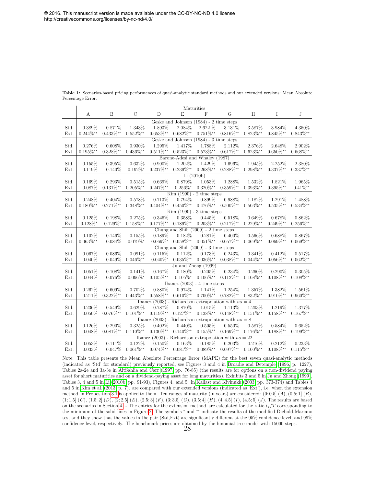|                       | $\label{eq:1}$ Maturities |                |                |                |                                         |                     |                                                         |                |                |                |  |  |
|-----------------------|---------------------------|----------------|----------------|----------------|-----------------------------------------|---------------------|---------------------------------------------------------|----------------|----------------|----------------|--|--|
|                       | А                         | B              | $\mathcal{C}$  | $\overline{D}$ | E                                       | F                   | G                                                       | H              | Ι              | $\mathbf J$    |  |  |
|                       |                           |                |                |                | Geske and Johnson (1984) - 2 time steps |                     |                                                         |                |                |                |  |  |
| Std.                  | 0.389%                    | 0.871%         | 1.343%         | 1.893%         | 2.084%                                  | 2.622 %             | 3.131%                                                  | 3.587%         | 3.984%         | 4.350%         |  |  |
| Ext.                  | $0.244\%^{**}$            | $0.433\%**$    | $0.552\%**$    | $0.653\%**$    | $0.682\%^**$                            | $0.751\%**$         | $0.816\%^{**}$                                          | $0.823\%**$    | $0.845\%^{**}$ | $0.843\%**$    |  |  |
|                       |                           |                |                |                | Geske and Johnson (1984) - 3 time steps |                     |                                                         |                |                |                |  |  |
| Std.                  | 0.276%                    | $0.608\%$      | 0.930%         | 1.295%         | 1.417%                                  | 1.788%              | 2.112%                                                  | 2.376%         | 2.648\%        | 2.902%         |  |  |
| Ext.                  | $0.195\%**$               | $0.328\%^{**}$ | $0.436\%^{**}$ | $0.511\%^{**}$ | $0.523\%**$                             | $0.573\%**$         | $0.617\%^{**}$                                          | $0.623\%**$    | $0.650\%^{**}$ | $0.668\%^{**}$ |  |  |
|                       |                           |                |                |                | Barone-Adesi and Whaley (1987)          |                     |                                                         |                |                |                |  |  |
| Std.                  | 0.155%                    | 0.395%         | 0.632%         | $0.900\%$      | 1.202%                                  | 1.429%              | 1.696%                                                  | 1.945%         | 2.252%         | 2.380%         |  |  |
| Ext.                  | 0.119%                    | 0.140%         | $0.192\%^*$    | $0.237\%^{**}$ | $0.239\%^**$                            | $0.268\%^{**}$      | $0.288\%^{**}$                                          | $0.298\%^{**}$ | $0.337\%**$    | $0.337\%**$    |  |  |
|                       |                           |                |                |                |                                         | Li(2010b)           |                                                         |                |                |                |  |  |
| Std.                  | 0.169%                    | 0.293%         | 0.515%         | 0.669%         | 0.879%                                  | 1.053%              | 1.288%                                                  | 1.532%         | 1.821%         | 1.965%         |  |  |
| Ext.                  | 0.087%                    | $0.131\%^{**}$ | $0.205\%^{**}$ | $0.247\%^**$   | $0.256\%^*$                             | $0.320\%**$         | $0.359\%^{**}$                                          | $0.393\%**$    | $0.395\%**$    | $0.41\%^**$    |  |  |
|                       |                           |                |                |                | $Kim (1990) - 2 time steps$             |                     |                                                         |                |                |                |  |  |
| Std.                  | 0.248\%                   | 0.404%         | 0.578%         | 0.713%         | 0.794%                                  | 0.899%              | 0.988%                                                  | 1.182%         | 1.291\%        | 1.488%         |  |  |
| Ext.                  | $0.180\%**$               | $0.271\%**$    | $0.348\%^{**}$ | $0.404\%^{**}$ | $0.450\%^{**}$                          | $0.476\%^{**}$      | $0.500\%^{**}$                                          | $0.503\%**$    | $0.535\%**$    | $0.534\%^{**}$ |  |  |
|                       |                           |                |                |                | $Kim (1990) - 3 time steps$             |                     |                                                         |                |                |                |  |  |
| Std.                  | 0.125%                    | 0.198%         | 0.275%         | $0.346\%$      | 0.358%                                  | 0.445%              | 0.518%                                                  | 0.649%         | 0.678%         | 0.862%         |  |  |
| Ext.                  | $0.128\%^*$               | $0.129\%^*$    | $0.158\%**$    | $0.177\%^{**}$ | $0.189\%^{**}$                          | $0.203\%**$         | $0.217\%^{**}$                                          | $0.229\%**$    | $0.249\%^{**}$ | $0.256\%^{**}$ |  |  |
|                       |                           |                |                |                | Chung and Shih $(2009)$ - 2 time steps  |                     |                                                         |                |                |                |  |  |
| Std.                  | $0.102\%$                 | 0.146\%        | 0.155%         | 0.189%         | 0.182\%                                 | $0.281\%$           | 0.400%                                                  | 0.566%         | 0.688%         | 0.867%         |  |  |
| Ext.                  | $0.063\%^{**}$            | 0.084%         | $0.079\%^*$    | $0.069\%*$     | $0.058\%^**$                            | $0.051\%**$         | $0.057\%^{**}$                                          | $0.069\%**$    | $0.069\%^{**}$ | $0.069\%**$    |  |  |
|                       |                           |                |                |                | Chung and Shih $(2009)$ - 3 time steps  |                     |                                                         |                |                |                |  |  |
| Std.                  | 0.067%                    | $0.086\%$      | 0.091%         | 0.115%         | 0.112%                                  | 0.173%              | 0.243\%                                                 | 0.341\%        | 0.412%         | 0.517%         |  |  |
| Ext.                  | 0.040%                    | 0.049%         | $0.046\%^{**}$ | $0.040\%^*$    | $0.035\%**$                             | $0.036\%**$         | $0.038\%**$                                             | $0.044\%^**$   | $0.056\%**$    | $0.062\%**$    |  |  |
|                       |                           |                |                |                |                                         | Ju and Zhong (1999) |                                                         |                |                |                |  |  |
| Std.                  | 0.051%                    | 0.108%         | 0.141%         | 0.167%         | 0.180%                                  | 0.205%              | $0.234\%$                                               | 0.260%         | 0.290%         | 0.305%         |  |  |
| Ext.                  | 0.044%                    | 0.076%         | $0.096\%^*$    | $0.105\%^{**}$ | $0.105\%^*$                             | $0.106\%**$         | $0.112\%^**$                                            | $0.108\%**$    | $0.108\%**$    | $0.108\%**$    |  |  |
|                       |                           |                |                |                | Ibanez $(2003)$ - 4 time steps          |                     |                                                         |                |                |                |  |  |
| Std.                  | 0.262%                    | 0.609%         | 0.702%         | 0.880%         | 0.974%                                  | 1.141%              | 1.254%                                                  | 1.357%         | 1.382%         | 1.561%         |  |  |
| Ext.                  | 0.211%                    | $0.322\%**$    | $0.443\%**$    | $0.558\%**$    | $0.610\%^{**}$                          | $0.700\%**$         | $0.782\%^**$                                            | $0.832\%**$    | $0.910\%**$    | $0.960\%**$    |  |  |
|                       |                           |                |                |                |                                         |                     | Ibanez (2003) - Richardson extrapolation with $ns = 4$  |                |                |                |  |  |
| Std.                  | 0.236%                    | 0.549%         | 0.629%         | 0.787%         | 0.870%                                  | 1.015%              | 1.113%                                                  | 1.203%         | 1.219%         | 1.377%         |  |  |
| Ext.                  | $0.050\%$                 | $0.076\%^{**}$ | $0.101\%**$    | $0.119\%**$    | $0.127\%^{**}$                          | $0.138\%**$         | $0.148\%^{**}$                                          | $0.151\%^{**}$ | $0.158\%^{**}$ | $0.167\%^{**}$ |  |  |
|                       |                           |                |                |                |                                         |                     | Ibanez (2003) - Richardson extrapolation with $ns = 8$  |                |                |                |  |  |
| Std.                  | 0.126%                    | 0.290%         | 0.325%         | $0.402\%$      | 0.440%                                  | 0.505%              | 0.550%                                                  | 0.587%         | 0.584%         | 0.652%         |  |  |
| Ext.                  | 0.048%                    | $0.081\%^{**}$ | $0.110\%^{**}$ | $0.130\%**$    | $0.140\%^**$                            | $0.155\%$ **        | $0.169\%^**$                                            | $0.176\%^{**}$ | $0.188\%**$    | $0.199\%**$    |  |  |
|                       |                           |                |                |                |                                         |                     | Ibanez (2003) - Richardson extrapolation with $ns = 22$ |                |                |                |  |  |
| $\operatorname{Std}.$ | 0.053%                    | 0.111%         | 0.122%         | $0.150\%$      | 0.163%                                  | 0.185%              | 0.203%                                                  | 0.216%         | 0.212%         | 0.233%         |  |  |
| Ext.                  | $0.033\%$                 | 0.047%         | $0.061\%^{**}$ | $0.074\%^{**}$ | $0.081\%^{**}$                          | $0.089\%**$         | $0.097\%^**$                                            | $0.100\%^{**}$ | $0.108\%**$    | $0.115\%^{**}$ |  |  |

<span id="page-28-0"></span>Table 1: Scenarios-based pricing performances of quasi-analytic standard methods and our extended versions: Mean Absolute Percentage Error.

Note: This table presents the Mean Absolute Percentage Error (MAPE) for the best seven quasi-analytic methods (indicated as 'Std' for standard) previously reported, see Figures 3 and 4 in [Broadie and Detemple \(1996,](#page-20-3) p. 1227), Tables 2a-2e and 3a-3e in [AitSahlia and Carr \(1997,](#page-19-1) pp. 76-85) (the results are for options on a non-dividend paying asset for short maturities and on a dividend-paying asset for long maturities), Exhibits 3 and 5 in [Ju and Zhong \(1999\)](#page-22-0), Tables 3, 4 and 5 in [Li \(2010b,](#page-23-2) pp. 91-93), Figures 4. and 5. in [Kallast and Kivinukk \(2003,](#page-22-8) pp. 373-374) and Tables 4 and 5 in [Kim et al. \(2013,](#page-22-4) p. 7). are compared with our extended versions (indicated as 'Ext'), i.e. when the extension method in Proposition [3.1](#page-8-0) is applied to them. Ten ranges of maturity (in years) are considered:  $(0; 0.5] (A), (0.5; 1] (B),$  $(1; 1.5]$   $(C)$ ,  $(1.5; 2]$   $(D)$ ,  $(2; 2.5]$   $(E)$ ,  $(2.5; 3]$   $(F)$ ,  $(3; 3.5]$   $(G)$ ,  $(3.5; 4]$   $(H)$ ,  $(4; 4.5]$   $(I)$ ,  $(4.5; 5]$   $(J)$ . The results are based on the scenarios in Section [4.](#page-10-0) - The entries for the extension method are calculated for the ratio  $t_x/T$  corresponding to the minimum of the solid lines in Figure [2.](#page-32-0) The symbols <sup>∗</sup> and ∗∗ indicate the results of the modified Diebold-Mariano test and they show that the values in the pair (Std,Ext) are significantly different at the 95% confidence level, and 99% confidence level, respectively. The benchmark prices are obtained by the binomial tree model with 15000 steps. 28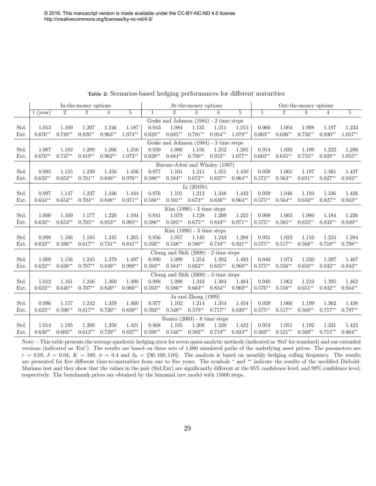|      | In-the-money options                    |                |           |                |           |           | At-the-money options                      |                             |                |           |              | Out-the-money options |            |                |            |  |
|------|-----------------------------------------|----------------|-----------|----------------|-----------|-----------|-------------------------------------------|-----------------------------|----------------|-----------|--------------|-----------------------|------------|----------------|------------|--|
|      | $1$ (year)                              | $\overline{2}$ | 3         | $\overline{4}$ | 5         | 1         | $\overline{2}$                            | 3                           | $\overline{4}$ | 5         | $\mathbf{1}$ | $\overline{2}$        | 3          | $\overline{4}$ | 5          |  |
|      |                                         |                |           |                |           |           | Geske and Johnson $(1984)$ - 2 time steps |                             |                |           |              |                       |            |                |            |  |
| Std. | 1.013                                   | 1.169          | 1.207     | 1.246          | 1.187     | 0.943     | 1.084                                     | 1.135                       | 1.211          | 1.215     | 0.900        | 1.004                 | 1.098      | 1.197          | 1.233      |  |
| Ext. | $0.676**$                               | $0.748**$      | $0.820**$ | $0.963**$      | $1.074**$ | $0.629**$ | $0.685**$                                 | $0.791**$                   | $0.954**$      | $1.079**$ | $0.603**$    | $0.636**$             | $0.756**$  | $0.930**$      | $1.057**$  |  |
|      | Geske and Johnson (1984) - 3 time steps |                |           |                |           |           |                                           |                             |                |           |              |                       |            |                |            |  |
| Std. | 1.007                                   | 1.182          | 1.209     | 1.266          | 1.256     | 0.939     | 1.086                                     | 1.156                       | 1.252          | 1.285     | 0.914        | 1.020                 | 1.109      | 1.222          | 1.280      |  |
| Ext. | $0.676**$                               | $0.747**$      | $0.819**$ | $0.962**$      | $1.073**$ | $0.629**$ | $0.684**$                                 | $0.790**$                   | $0.952**$      | $1.077**$ | $0.603**$    | $0.635**$             | $0.755***$ | $0.928**$      | $1.055***$ |  |
|      | Barone-Adesi and Whaley (1987)          |                |           |                |           |           |                                           |                             |                |           |              |                       |            |                |            |  |
| Std. | 0.995                                   | 1.155          | 1.239     | 1.350          | 1.456     | 0.977     | 1.101                                     | 1.211                       | 1.351          | 1.450     | 0.938        | 1.065                 | 1.197      | 1.361          | 1.437      |  |
| Ext. | $0.632**$                               | $0.652**$      | $0.701**$ | $0.846**$      | $0.976**$ | $0.586**$ | $0.584**$                                 | $0.672**$                   | $0.837**$      | $0.964**$ | $0.575**$    | $0.563**$             | $0.651**$  | $0.827**$      | $0.942**$  |  |
|      |                                         |                |           |                |           |           |                                           | Li $(2010b)$                |                |           |              |                       |            |                |            |  |
| Std. | 0.997                                   | 1.147          | 1.237     | 1.346          | 1.444     | 0.976     | 1.101                                     | 1.212                       | 1.348          | 1.442     | 0.939        | 1.046                 | 1.193      | 1.346          | 1.426      |  |
| Ext. | $0.634**$                               | $0.654**$      | $0.704**$ | $0.848**$      | $0.971**$ | $0.586**$ | $0.591**$                                 | $0.673**$                   | $0.838**$      | $0.964**$ | $0.575***$   | $0.564**$             | $0.650**$  | $0.827**$      | $0.943**$  |  |
|      | $Kim (1990) - 2 time steps$             |                |           |                |           |           |                                           |                             |                |           |              |                       |            |                |            |  |
| Std. | 1.000                                   | 1.169          | 1.177     | 1.220          | 1.194     | 0.941     | 1.079                                     | 1.128                       | 1.209          | 1.225     | 0.908        | 1.003                 | 1.080      | 1.184          | 1.226      |  |
| Ext. | $0.632**$                               | $0.653**$      | $0.705**$ | $0.853**$      | $0.985**$ | $0.586**$ | $0.585**$                                 | $0.675**$                   | $0.843**$      | $0.971**$ | $0.575***$   | $0.565**$             | $0.655**$  | $0.832**$      | $0.949**$  |  |
|      |                                         |                |           |                |           |           |                                           | $Kim (1990) - 3 time steps$ |                |           |              |                       |            |                |            |  |
| Std. | 0.998                                   | 1.166          | 1.185     | 1.245          | 1.265     | 0.956     | 1.057                                     | 1.140                       | 1.243          | 1.288     | 0.931        | 1.023                 | 1.110      | 1.224          | 1.284      |  |
| Ext. | $0.623**$                               | $0.596**$      | $0.617**$ | $0.731**$      | $0.841**$ | $0.592**$ | $0.548**$                                 | $0.580**$                   | $0.718**$      | $0.821**$ | $0.575***$   | $0.517**$             | $0.568**$  | $0.718**$      | $0.798**$  |  |
|      |                                         |                |           |                |           |           | Chung and Shih $(2009)$ - 2 time steps    |                             |                |           |              |                       |            |                |            |  |
| Std. | 1.009                                   | 1.156          | 1.245     | 1.379          | 1.497     | 0.990     | 1.099                                     | 1.254                       | 1.392          | 1.493     | 0.940        | 1.073                 | 1.220      | 1.397          | 1.467      |  |
| Ext. | $0.622**$                               | $0.638**$      | $0.707**$ | $0.849**$      | $0.989**$ | $0.593**$ | $0.584**$                                 | $0.662**$                   | $0.835**$      | $0.969**$ | $0.575***$   | $0.556**$             | $0.650**$  | $0.832**$      | $0.943**$  |  |
|      |                                         |                |           |                |           |           | Chung and Shih $(2009)$ - 3 time steps    |                             |                |           |              |                       |            |                |            |  |
| Std. | 1.012                                   | 1.161          | 1.246     | 1.369          | 1.490     | 0.988     | 1.098                                     | 1.243                       | 1.384          | 1.484     | 0.940        | 1.062                 | 1.210      | 1.395          | 1.462      |  |
| Ext. | $0.623**$                               | $0.640**$      | $0.707**$ | $0.849**$      | $0.988**$ | $0.593**$ | $0.586**$                                 | $0.663**$                   | $0.834**$      | $0.969**$ | $0.576**$    | $0.558**$             | $0.651**$  | $0.832**$      | $0.944**$  |  |
|      |                                         |                |           |                |           |           |                                           | Ju and Zhong (1999)         |                |           |              |                       |            |                |            |  |
| Std. | 0.996                                   | 1.157          | 1.242     | 1.359          | 1.460     | 0.977     | 1.102                                     | 1.214                       | 1.354          | 1.454     | 0.939        | 1.066                 | 1.199      | 1.362          | 1.438      |  |
| Ext. | $0.623**$                               | $0.596**$      | $0.617**$ | $0.730**$      | $0.839**$ | $0.592**$ | $0.548**$                                 | $0.579**$                   | $0.717**$      | $0.820**$ | $0.575***$   | $0.517**$             | $0.568**$  | $0.717**$      | $0.797**$  |  |
|      |                                         |                |           |                |           |           | Ibanez $(2003)$ - 8 time steps            |                             |                |           |              |                       |            |                |            |  |
| Std. | 1.014                                   | 1.195          | 1.260     | 1.350          | 1.421     | 0.968     | 1.105                                     | 1.208                       | 1.329          | 1.422     | 0.953        | 1.051                 | 1.192      | 1.331          | 1.423      |  |
| Ext. | $0.630**$                               | $0.603**$      | $0.613**$ | $0.729**$      | $0.837**$ | $0.590**$ | $0.546**$                                 | $0.582**$                   | $0.719**$      | $0.824**$ | $0.569**$    | $0.521**$             | $0.569**$  | $0.715**$      | $0.804**$  |  |

#### <span id="page-29-0"></span>Table 2: Scenarios-based hedging performances for different maturities

Note: - This table presents the average quadratic hedging error for seven quasi-analytic methods (indicated as 'Std' for standard) and our extended versions (indicated as 'Ext'). The results are based on three sets of 1,000 simulated paths of the underlying asset prices. The parameters are  $r = 0.05$ ,  $\delta = 0.04$ ,  $K = 100$ ,  $\sigma = 0.4$  and  $S_0 = \{90, 100, 110\}$ . The analysis is based on monthly hedging rolling frequency. The results are presented for five different time-to-maturities from one to five years. The symbols \* and \*\* indicate the results of the modified Diebold-Mariano test and they show that the values in the pair (Std,Ext) are significantly different at the 95% confidence level, and 99% confidence level, respectively. The benchmark prices are obtained by the binomial tree model with 15000 steps.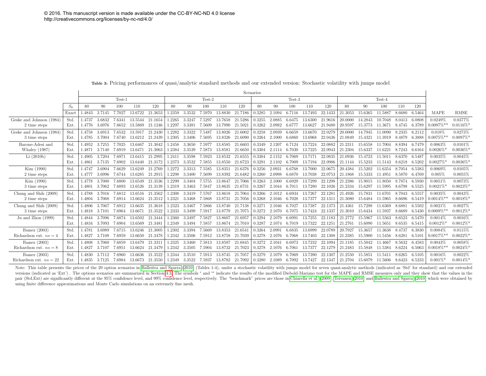<span id="page-30-1"></span>

|                           |       | Scenarios |           |        |         |         |        |        |          |         |         |        |        |        |         |         |         |         |         |        |        |                         |                         |
|---------------------------|-------|-----------|-----------|--------|---------|---------|--------|--------|----------|---------|---------|--------|--------|--------|---------|---------|---------|---------|---------|--------|--------|-------------------------|-------------------------|
|                           |       |           |           | Test-1 |         |         |        |        | $Test-2$ |         |         |        |        | Test-3 |         |         |         |         | Test-4  |        |        |                         |                         |
|                           | $S_0$ | 80        | 90        | 100    | 110     | 120     | 80     | 90     | 100      | 110     | 120     | 80     | 90     | 100    | 110     | 120     | 80      | 90      | 100     | 110    | 120    |                         |                         |
|                           | Exact | 1.4843    | 3.7145    | 7.7027 | 13.6722 | 21.3653 | 1.2359 | 3.3532 | 7.5970   | 13.8830 | 21.7186 | 0.3285 | 2.1094 | 6.7116 | 13.7493 | 22.1433 | 21.3053 | 15.6365 | 11.5887 | 8.6680 | 6.5464 | MAPE                    | <b>RMSE</b>             |
| Geske and Johnson (1984)  | Std.  | 1.4737    | 3.6832    | 7.6341 | 13.5544 | 21.1654 | 1.2265 | 3.3247 | 7.5297   | 13.7658 | 21.5286 | 0.3255 | 2.0885 | 6.6475 | 13.6300 | 21.9616 | 20.0000 | 14.2843 | 10.7048 | 8.0413 | 6.0808 | 0.0249%                 | 0.0377%                 |
| 2 time steps              | Ext.  | 1.4776    | 3.6976    | 7.6652 | 13.5869 | 21.1246 | 1.2297 | 3.3381 | 7.5609   | 13.7990 | 21.5021 | 0.3262 | 2.0982 | 6.6777 | 13.6627 | 21.9480 | 20.9597 | 15.3773 | 11.3671 | 8.4745 | 6.3789 | $0.0097\%$ **           | 0.0116%                 |
| Geske and Johnson (1984)  | Std.  | 1.4758    | 3.6913    | 7.6532 | 13.5917 | 21.2430 | 1.2282 | 3.3322 | 7.5487   | 13.8026 | 21.6002 | 0.3258 | 2.0939 | 6.6659 | 13.6670 | 22.0279 | 20.0000 | 14.7945 | 11.0090 | 8.2335 | 6.2112 | 0.018%                  | 0.0273%                 |
| 3 time steps              | Ext.  | 1.4785    | 3.7004    | 7.6740 | 13.6212 | 21.2439 | 1.2305 | 3.3406 | 7.5695   | 13.8326 | 21.6090 | 0.3264 | 2.1000 | 6.6860 | 13.6968 | 22.0436 | 21.0849 | 15.4321 | 11.3919 | 8.4879 | 6.3888 | $0.0075\%**$            | $0.0097\%$              |
| Barone-Adesi and          | Std.  | 1.4952    | 3.7255    | 7.7025 | 13.6467 | 21.3042 | 1.2458 | 3.3650 | 7.5977   | 13.8585 | 21.6603 | 0.3349 | 2.1207 | 6.7124 | 13.7224 | 22.0882 | 21.2311 | 15.6558 | 11.7004 | 8.8394 | 6.7479 | 0.0063%                 | 0.0101%                 |
| Whaley $(1987)$           | Ext.  | 1.4871    | 3.7140    | 7.6919 | 13.6471 | 21.3063 | 1.2384 | 3.3539 | 7.5873   | 13.8581 | 21.6650 | 0.3304 | 2.1114 | 6.7030 | 13.7225 | 22.0943 | 21.2304 | 15.6337 | 11.6221 | 8.7243 | 6.6164 | $0.0026\%$ <sup>*</sup> | $0.0036\%$              |
| Li(2010b)                 | Std.  | 1.4905    | 3.7204    | 7.6971 | 13.6415 | 21.2995 | 1.2411 | 3.3598 | 7.5923   | 13.8532 | 21.6555 | 0.3304 | 2.1152 | 6.7069 | 13.7171 | 22.0835 | 21.0936 | 15.4723 | 11.5011 | 8.6370 | 6.5487 | 0.0035%                 | 0.0045%                 |
|                           | Ext.  | 1.4861    | 3.7135    | 7.6902 | 13.6440 | 21.3172 | 1.2373 | 3.3532 | 7.5855   | 13.8550 | 21.6723 | 0.3291 | 2.1102 | 6.7009 | 13.7194 | 22.0986 | 21.1144 | 15.5233 | 11.5143 | 8.6218 | 6.5202 | $0.0027\%$ <sup>*</sup> | $0.0036\%$              |
| Kim (1990)                | Std.  | 1.4747    | 3.6904    | 7.6629 | 13.6249 | 21.2769 | 1.2272 | 3.3313 | 7.5585   | 13.8351 | 21.6376 | 0.3256 | 2.0931 | 6.6768 | 13.7000 | 22.0675 | 20.4384 | 15.5202 | 11.6354 | 8.7054 | 6.5383 | 0.0069%                 | 0.0105%                 |
| 2 time steps              | Ext.  | 1.4777    | 3.6996    | 7.6744 | 13.6285 | 21.2915 | 1.2298 | 3.3400 | 7.5699   | 13.8392 | 21.6482 | 0.3260 | 2.0998 | 6.6870 | 13.7038 | 22.0753 | 21.1868 | 15.5333 | 11.4951 | 8.5870 | 6.4769 | 0.005%                  | 0.0055%                 |
| Kim (1990)                | Std.  | 1.4778    | 3.7000    | 7.6800 | 13.6549 | 21.3536 | 1.2299 | 3.3404 | 7.5755   | 13.8647 | 21.7066 | 0.3263 | 2.1000 | 6.6929 | 13.7299 | 22.1298 | 21.2386 | 15.9015 | 11.8050 | 8.7874 | 6.5930 | 0.0051%                 | 0.0073%                 |
| 3 time steps              | Ext.  | 1.4801    | 3.7062    | 7.6893 | 13.6526 | 21.3139 | 1.2319 | 3.3463 | 7.5847   | 13.8635 | 21.6731 | 0.3267 | 2.1044 | 6.7011 | 13.7280 | 22.1026 | 21.2334 | 15.6297 | 11.5995 | 8.6798 | 6.5525 | $0.0021\%$ *            | $0.0023\%$              |
| Chung and Shih (2009)     | Std.  | 1.4788    | 3.7016    | 7.6812 | 13.6516 | 21.3562 | 1.2308 | 3.3419 | 7.5767   | 13.8618 | 21.7064 | 0.3266 | 2.1012 | 6.6934 | 13.7267 | 22.1281 | 21.4926 | 15.7831 | 11.6701 | 8.7043 | 6.5557 | 0.0035%                 | 0.0043%                 |
| 2 time steps              | Ext.  | 1.4804    | 3.7068    | 7.6914 | 13.6624 | 21.3512 | 1.2321 | 3.3468 | 7.5868   | 13.8731 | 21.7056 | 0.3268 | 2.1046 | 6.7028 | 13.7377 | 22.1311 | 21.3080 | 15.6484 | 11.5965 | 8.6696 | 6.5419 | $0.0014\%**$            | $0.0018\%$              |
| Chung and Shih (2009)     | Std.  | 1.4806    | 3 7067    | 7.6912 | 13.6635 | 21.3618 | 1.2323 | 3.3467 | 7.5866   | 13.8740 | 21.7138 | 0.3271 | 2.1046 | 6.7027 | 13.7387 | 22.1373 | 21.4361 | 15.7298 | 11 6369 | 8.6881 | 6.5502 | 0.0021%                 | 0.0027%                 |
| 3 time steps              | Ext.  | 1.4818    | 3.7101    | 7.6964 | 13.6671 | 21.3522 | 1.2333 | 3.3499 | 7.5917   | 13.8779 | 21.7075 | 0.3272 | 2.1070 | 6.7075 | 13.7424 | 22.1337 | 21.3010 | 15.6434 | 11.5937 | 8.6689 | 6.5430 | $0.0009\%**$            | 0.0012%                 |
| Ju and Zhon (1999)        | Std.  | 1.4844    | 3.7096    | 7.6874 | 13.6502 | 21.3444 | 1.2360 | 3.3497 | 7.5827   | 13.8607 | 21.6957 | 0.3294 | 2.1079 | 6.6991 | 13.7255 | 22.1183 | 21.2772 | 15.5967 | 11.5563 | 8.6523 | 6.5470 | 0.0014%                 | 0.0016%                 |
|                           | Ext.  | 1.4834    | 3.7093    | 7.6904 | 13.6569 | 21.3481 | 1.2349 | 3.3494 | 7.5857   | 13.8674 | 21.7010 | 0.3287 | 2.1074 | 6.7019 | 13.7322 | 22.1251 | 21.2761 | 15.6090 | 11.5651 | 8.6535 | 6.5415 | $0.0012\%$ <sup>*</sup> | $0.0012\%$              |
| Ibanez $(2003)$           | Std.  | 1.4781    | 3.6989    | 7.6715 | 13.6246 | 21.3005 | 1.2302 | 3.3394 | 7.5669   | 13.8353 | 21.6541 | 0.3264 | 2.0991 | 6.6835 | 13.6999 | 22.0789 | 20.7927 | 15.3657 | 11.3638 | 8.4737 | 6.3830 | 0.0084%                 | 0.0115%                 |
| Richardson ext. $ns = 4$  | Ext.  | 1.4827    | 3.7108    | 7.6959 | 13.6650 | 21.3478 | 1.2342 | 3.3506 | 7.5912   | 13.8758 | 21.7039 | 0.3278 | 2.1076 | 6.7068 | 13.7403 | 22.1308 | 21.2385 | 15.5900 | 11.5456 | 8.6281 | 6.5101 | $0.0017\%**$            | $0.0022\%$ <sup>*</sup> |
| Ibanez $(2003)$           | Std.  | 1.4808    | 3 7060    | 76859  | 13.6479 | 21.3311 | 1.2325 | 3.3460 | 7.5813   | 13.8587 | 21.6845 | 0.3272 | 2.1041 | 6.6973 | 13.7232 | 22.1094 | 21.1185 | 15.5042 | 11 4667 | 8.5632 | 6.4583 | 0.0043%                 | 0.0058%                 |
| Richardson ext. $ns = 8$  | Ext.  | 1.4827    | 3.7107    | 7.6951 | 13.6624 | 21.3479 | 1.2342 | 3.3505 | 7.5904   | 13.8732 | 21.7023 | 0.3278 | 2.1076 | 6.7061 | 13.7377 | 22.1279 | 21.2483 | 15.5848 | 11.5384 | 8.6224 | 6.5063 | $0.0018\%**$            | 0.0024%                 |
| Ibanez $(2003)$           | Std.  | 1.4830    | 3 7 1 1 2 | 7.6960 | 13.6636 | 21.3522 | 1.2344 | 3.3510 | 7.5913   | 13.8745 | 21.7057 | 0.3279 | 2.1079 | 6.7069 | 13.7390 | 22.1307 | 21.2550 | 15.5851 | 11.5411 | 8.6265 | 6.5105 | 0.0016%                 | 0.0022%                 |
| Richardson ext. $ns = 22$ | Ext.  | 1.4835    | 3.7125    | 7.6984 | 13.6673 | 21.3550 | 1.2349 | 3.3522 | 7.5937   | 13.8782 | 21.7092 | 0.3280 | 2.1089 | 6.7092 | 13.7427 | 22.1347 | 21.2704 | 15.6079 | 11.5606 | 8.6423 | 6.5233 | $0.001\%$ *             | $0.0014\%$              |

<span id="page-30-0"></span>Table 3: Pricing performances of quasi/analytic standard methods and our extended version: Stochastic volatility with jumps model

Note: This table presents the prices of the 20 option scenarios in [Ballestra and Sgarra \(2010\)](#page-19-3) (Tables 1-4), under a stochastic volatility with jumps model for seven quasi-analytic methods (indicated as 'Std' for standard) versions (indicated as 'Ext'). The options scenarios are summarized in Section [4.3.](#page-14-0) The symbols \* and \*\* indicate the results of the modified Diebold-Mariano test for the MAPE and RMSE measures only and they show that the pair (Std, Ext) are significantly different at the 95% confidence level, and 99% confidence level, respectively. The "benchmark" prices are those in [Chiarella et al. \(2009\)](#page-20-9), [Toivanen \(2010\)](#page-23-8) and [Ballestra and Sgarra \(2010\)](#page-19-3) using finite difference approximations and Monte Carlo simulations on an extremely fine mesh.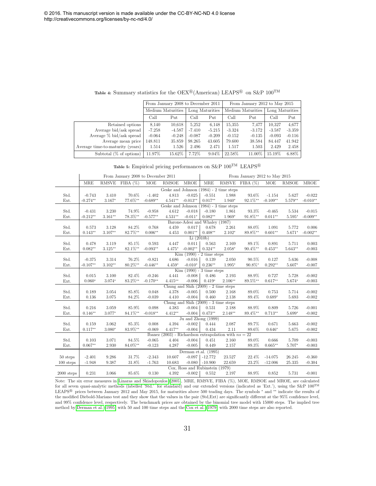<span id="page-31-0"></span>

|                                  |          | From January 2008 to December 2011 |          |                 | From January 2012 to May 2015 |                   |                 |          |  |  |
|----------------------------------|----------|------------------------------------|----------|-----------------|-------------------------------|-------------------|-----------------|----------|--|--|
|                                  |          | Medium Maturities                  |          | Long Maturities |                               | Medium Maturities | Long Maturities |          |  |  |
|                                  | Call     | Put                                | Call     | Put             | Call                          | Put               | Call            | Put      |  |  |
| Retained options                 | 8,140    | 10.618                             | 5,252    | 6,148           | 15,355                        | 7.477             | 10.327          | 4,677    |  |  |
| Average bid/ask spread           | $-7.258$ | $-4.587$                           | $-7.410$ | $-5.215$        | $-3.324$                      | $-3.172$          | $-3.587$        | $-3.359$ |  |  |
| Average $\%$ bid/ask spread      | $-0.064$ | $-0.248$                           | $-0.087$ | $-0.209$        | $-0.152$                      | $-0.135$          | $-0.093$        | $-0.116$ |  |  |
| Average mean price               | 148.811  | 35.859                             | 98.265   | 43.605          | 79.600                        | 38.584            | 84.447          | 41.942   |  |  |
| Average time-to-maturity (years) | 1.514    | 1.526                              | 2.496    | 2.471           | 1.517                         | 1.503             | 2.429           | 2.458    |  |  |
| Subtotal $(\%$ of options)       | 11.97%   | 15.62%                             | 7.72%    | $9.04\%$        | 22.58%                        | 11.00%            | 15.19%          | 6.88%    |  |  |

Table 4: Summary statistics for the OEX<sup>®</sup> (American) LEAPS<sup>®</sup> on S&P  $100^{TM}$ 

| Table 5: Empirical pricing performances on S&P $100^{TM}$ LEAPS® |  |  |  |
|------------------------------------------------------------------|--|--|--|
|------------------------------------------------------------------|--|--|--|

|              |            |           | From January 2008 to December 2011 |            |              |                                        |            |                                                         | From January 2012 to May 2015 |            |              |            |
|--------------|------------|-----------|------------------------------------|------------|--------------|----------------------------------------|------------|---------------------------------------------------------|-------------------------------|------------|--------------|------------|
|              | <b>MRE</b> |           | RMSVE FIBA (%)                     | <b>MOE</b> | <b>RMSOE</b> | <b>MROE</b>                            | <b>MRE</b> |                                                         | RMSVE FIBA (%)                | MOE        | <b>RMSOE</b> | MROE       |
|              |            |           |                                    |            |              |                                        |            | Geske and Johnson (1984) - 2 time steps                 |                               |            |              |            |
| Std.         | $-0.743$   | 3.410     | 70.6%                              | $-1.402$   | 4.813        | $-0.025$                               | $-0.551$   | 1.988                                                   | 93.6%                         | $-1.154$   | 5.627        | $-0.022$   |
| Ext.         | $-0.274**$ | $3.167*$  | 77.6%**                            | $-0.689**$ | $4.541**$    | $-0.013**$                             | $0.017**$  | $1.940*$                                                | 92.1%**                       | $-0.109**$ | $5.579**$    | $-0.010**$ |
|              |            |           |                                    |            |              |                                        |            | Geske and Johnson (1984) - 3 time steps                 |                               |            |              |            |
| Std.         | $-0.431$   | 3.230     | 74.9%                              | $-0.958$   | 4.612        | $-0.018$                               | $-0.180$   | 1.861                                                   | 93.3%                         | $-0.465$   | 5.534        | $-0.015$   |
| Ext.         | $-0.212**$ | $3.161**$ | 78.3%**                            | $-0.577**$ | $4.531**$    | $-0.011*$                              | $0.082**$  | $1.969*$                                                | 91.8%**                       | $0.011**$  | $5.595*$     | $-0.009**$ |
|              |            |           |                                    |            |              | Barone-Adesi and Whaley (1987)         |            |                                                         |                               |            |              |            |
| Std.         | 0.573      | 3.128     | 84.2%                              | 0.768      | 4.459        | 0.017                                  | 0.678      | 2.261                                                   | 88.0%                         | 1.091      | 5.772        | 0.006      |
| Ext.         | $0.143**$  | $3.107**$ | 82.7%**                            | $0.006**$  | 4.453        | $0.001**$                              | $0.408**$  | $2.102*$                                                | 89.8%**                       | $0.601**$  | $5.671*$     | $-0.002**$ |
|              |            |           |                                    |            |              | Li(2010b)                              |            |                                                         |                               |            |              |            |
| Std.         | 0.478      | 3.119     | 85.1%                              | 0.593      | 4.447        | 0.011                                  | 0.563      | 2.169                                                   | 89.1%                         | 0.891      | 5.711        | 0.003      |
| Ext.         | $0.082**$  | $3.125**$ | 82.1%**                            | $-0.093**$ | $4.475*$     | $-0.002**$                             | $0.324**$  | $2.058*$                                                | $90.4\%^{**}$                 | $0.453**$  | $5.643**$    | $-0.003$   |
|              |            |           |                                    |            |              | $Kim (1990) - 2 time steps$            |            |                                                         |                               |            |              |            |
| Std.         | $-0.375$   | 3.314     | 76.2%                              | $-0.821$   | 4.686        | $-0.016$                               | 0.139      | 2.050                                                   | 90.5%                         | 0.127      | 5.636        | $-0.008$   |
| Ext.         | $-0.107**$ | $3.102**$ | 80.2%**                            | $-0.446**$ | $4.459*$     | $-0.010*$                              | $0.236**$  | $1.995*$                                                | 90.8%*                        | $0.292**$  | $5.607*$     | $-0.007$   |
|              |            |           |                                    |            |              | $Kim (1990) - 3 time steps$            |            |                                                         |                               |            |              |            |
| Std.         | 0.015      | 3.100     | 82.4%                              | $-0.246$   | 4.441        | $-0.008$                               | 0.486      | 2.193                                                   | 88.9%                         | 0.727      | 5.728        | $-0.002$   |
| Ext.         | $0.060*$   | $3.074*$  | 83.2%**                            | $-0.170**$ | $4.415**$    | $-0.006$                               | $0.419*$   | $2.106**$                                               | 89.5%**                       | $0.617**$  | $5.674*$     | $-0.003$   |
|              |            |           |                                    |            |              | Chung and Shih $(2009)$ - 2 time steps |            |                                                         |                               |            |              |            |
| Std.         | 0.189      | 3.054     | 85.8%                              | 0.048      | 4.378        | $-0.005$                               | 0.500      | 2.168                                                   | 89.0%                         | 0.753      | 5.714        | $-0.002$   |
| Ext.         | 0.136      | 3.075     | 84.2%                              | $-0.039$   | 4.410        | $-0.004$                               | 0.460      | 2.138                                                   | 89.4%                         | $0.689*$   | 5.693        | $-0.002$   |
|              |            |           |                                    |            |              | Chung and Shih $(2009)$ - 3 time steps |            |                                                         |                               |            |              |            |
| Std.         | 0.216      | 3.059     | 85.9%                              | 0.098      | 4.383        | $-0.004$                               | 0.531      | 2.188                                                   | 88.9%                         | 0.809      | 5.726        | $-0.001$   |
| Ext.         | $0.146**$  | 3.077*    | 84.1%**                            | $-0.018**$ | $4.412**$    | $-0.004$                               | $0.473**$  | $2.148**$                                               | 89.4%**                       | $0.713**$  | $5.699*$     | $-0.002$   |
|              |            |           |                                    |            |              | Ju and Zhong (1999)                    |            |                                                         |                               |            |              |            |
| Std.         | 0.159      | 3.062     | 85.3%                              | 0.008      | 4.394        | $-0.002$                               | 0.444      | 2.087                                                   | 89.7%                         | 0.671      | 5.663        | $-0.002$   |
| Ext.         | $0.117**$  | $3.080*$  | 83.9%**                            | $-0.069$   | 4.417**      | $-0.004$                               | 0.434      | 2.11                                                    | 89.6%                         | $0.646*$   | 5.675        | $-0.002$   |
|              |            |           |                                    |            |              |                                        |            | Ibanez (2003) - Richardson extrapolation with $ns = 22$ |                               |            |              |            |
| Std.         | 0.103      | 3.071     | 84.5%                              | $-0.065$   | 4.404        | $-0.004$                               | 0.451      | 2.160                                                   | 89.0%                         | 0.666      | 5.709        | $-0.003$   |
| Ext.         | $0.067**$  | 2.930     | 84.0%**                            | $-0.123$   | 4.287        | $-0.005$                               | 0.449      | 2.157                                                   | 89.3%                         | $0.665**$  | 5.707*       | $-0.003$   |
|              |            |           |                                    |            |              | Derman et.al. (1995)                   |            |                                                         |                               |            |              |            |
| 50 steps     | $-2.401$   | 9.286     | 31.7%                              | $-2.343$   | 10.607       | $-0.097$                               | $-12.772$  | 23.527                                                  | 22.4%                         | $-14.075$  | 26.245       | $-0.360$   |
| $100$ steps  | $-1.948$   | 9.387     | 31.8%                              | $-1.763$   | 10.683       | $-0.080$                               | $-10.900$  | 22.659                                                  | 23.2%                         | $-12.006$  | 25.335       | $-0.304$   |
|              |            |           |                                    |            |              | Cox, Ross and Rubinstein (1979)        |            |                                                         |                               |            |              |            |
| $2000$ steps | 0.231      | 3.066     | 85.6%                              | 0.130      | 4.392        | $-0.002$                               | 0.552      | 2.197                                                   | 88.9%                         | 0.852      | 5.731        | $-0.001$   |

Note: The six error measures in [Linaras and Skiadopoulos \(2005\)](#page-23-6), MRE, RMSVE, FIBA (%), MOE, RMSOE and MROE, are calculated for all seven quasi-analytic methods (labelled 'Std.' for standard) and our extended versions (indicated as 'Ext.'), using the S&P  $100^{TM}$ LEAPS <sup>R</sup> prices between January 2012 and May 2015, for maturities above 500 trading days. The symbols <sup>∗</sup> and ∗∗ indicate the results of the modified Diebold-Mariano test and they show that the values in the pair (Std,Ext) are significantly different at the 95% confidence level, and 99% confidence level, respectively. The benchmark prices are obtained by the binomial tree model with 15000 steps. The implied tree method by [Derman et al. \(1995\)](#page-21-8) with 50 and 100 time steps and the [Cox et al. \(1979\)](#page-21-7) with 2000 time steps are also reported.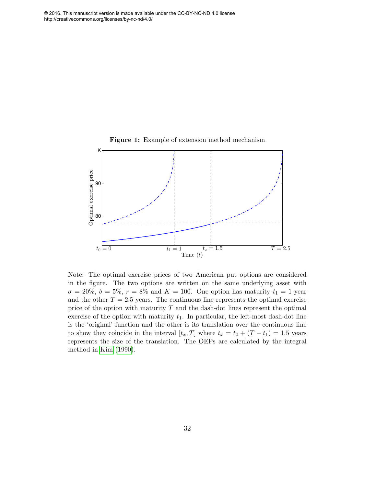<span id="page-32-0"></span>

Note: The optimal exercise prices of two American put options are considered in the figure. The two options are written on the same underlying asset with  $\sigma = 20\%, \delta = 5\%, r = 8\%$  and  $K = 100$ . One option has maturity  $t_1 = 1$  year and the other  $T = 2.5$  years. The continuous line represents the optimal exercise price of the option with maturity  $T$  and the dash-dot lines represent the optimal exercise of the option with maturity  $t_1$ . In particular, the left-most dash-dot line is the 'original' function and the other is its translation over the continuous line to show they coincide in the interval  $[t_x, T]$  where  $t_x = t_0 + (T - t_1) = 1.5$  years represents the size of the translation. The OEPs are calculated by the integral method in [Kim \(1990\)](#page-22-3).